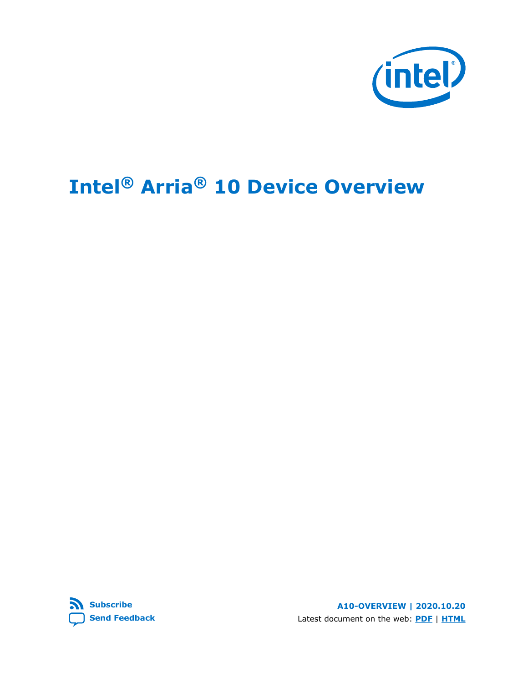

# **Intel® Arria® 10 Device Overview**



**A10-OVERVIEW | 2020.10.20** Latest document on the web: **[PDF](https://www.intel.com/content/dam/www/programmable/us/en/pdfs/literature/hb/arria-10/a10_overview.pdf)** | **[HTML](https://www.intel.com/content/www/us/en/programmable/documentation/sam1403480274650.html)**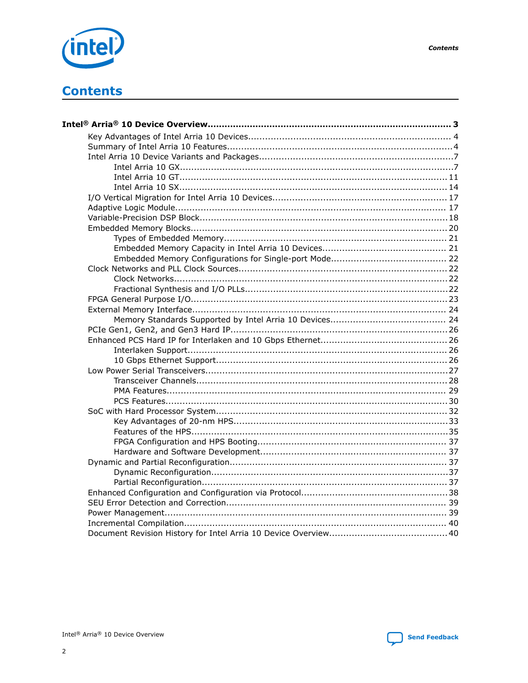

## **Contents**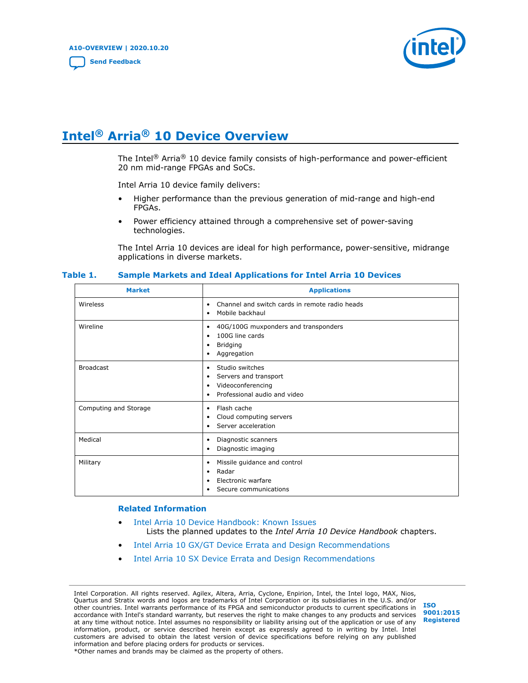

## <span id="page-2-0"></span>**Intel® Arria® 10 Device Overview**

The Intel<sup>®</sup> Arria<sup>®</sup> 10 device family consists of high-performance and power-efficient 20 nm mid-range FPGAs and SoCs.

Intel Arria 10 device family delivers:

- Higher performance than the previous generation of mid-range and high-end FPGAs.
- Power efficiency attained through a comprehensive set of power-saving technologies.

The Intel Arria 10 devices are ideal for high performance, power-sensitive, midrange applications in diverse markets.

| <b>Market</b>         | <b>Applications</b>                                                                                               |
|-----------------------|-------------------------------------------------------------------------------------------------------------------|
| Wireless              | Channel and switch cards in remote radio heads<br>٠<br>Mobile backhaul<br>٠                                       |
| Wireline              | 40G/100G muxponders and transponders<br>٠<br>100G line cards<br>٠<br>Bridging<br>٠<br>Aggregation<br>٠            |
| <b>Broadcast</b>      | Studio switches<br>٠<br>Servers and transport<br>٠<br>Videoconferencing<br>٠<br>Professional audio and video<br>٠ |
| Computing and Storage | Flash cache<br>٠<br>Cloud computing servers<br>٠<br>Server acceleration<br>٠                                      |
| Medical               | Diagnostic scanners<br>٠<br>Diagnostic imaging<br>٠                                                               |
| Military              | Missile guidance and control<br>٠<br>Radar<br>٠<br>Electronic warfare<br>٠<br>Secure communications<br>٠          |

#### **Table 1. Sample Markets and Ideal Applications for Intel Arria 10 Devices**

#### **Related Information**

- [Intel Arria 10 Device Handbook: Known Issues](http://www.altera.com/support/kdb/solutions/rd07302013_646.html) Lists the planned updates to the *Intel Arria 10 Device Handbook* chapters.
- [Intel Arria 10 GX/GT Device Errata and Design Recommendations](https://www.intel.com/content/www/us/en/programmable/documentation/agz1493851706374.html#yqz1494433888646)
- [Intel Arria 10 SX Device Errata and Design Recommendations](https://www.intel.com/content/www/us/en/programmable/documentation/cru1462832385668.html#cru1462832558642)

Intel Corporation. All rights reserved. Agilex, Altera, Arria, Cyclone, Enpirion, Intel, the Intel logo, MAX, Nios, Quartus and Stratix words and logos are trademarks of Intel Corporation or its subsidiaries in the U.S. and/or other countries. Intel warrants performance of its FPGA and semiconductor products to current specifications in accordance with Intel's standard warranty, but reserves the right to make changes to any products and services at any time without notice. Intel assumes no responsibility or liability arising out of the application or use of any information, product, or service described herein except as expressly agreed to in writing by Intel. Intel customers are advised to obtain the latest version of device specifications before relying on any published information and before placing orders for products or services. \*Other names and brands may be claimed as the property of others.

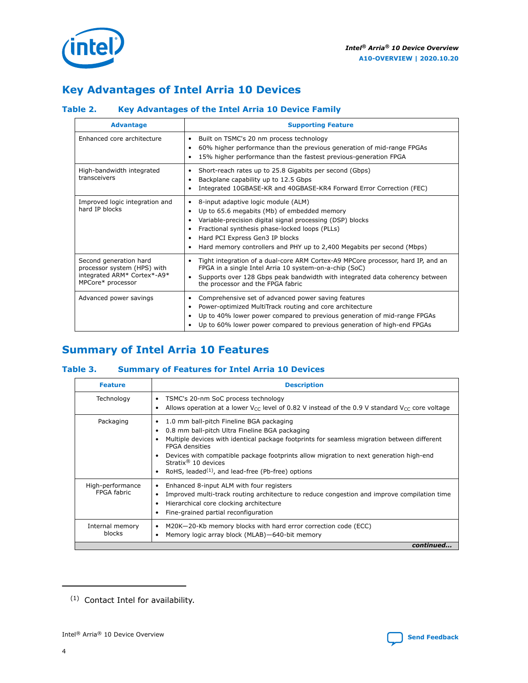<span id="page-3-0"></span>

## **Key Advantages of Intel Arria 10 Devices**

## **Table 2. Key Advantages of the Intel Arria 10 Device Family**

| <b>Advantage</b>                                                                                          | <b>Supporting Feature</b>                                                                                                                                                                                                                                                                                                     |
|-----------------------------------------------------------------------------------------------------------|-------------------------------------------------------------------------------------------------------------------------------------------------------------------------------------------------------------------------------------------------------------------------------------------------------------------------------|
| Enhanced core architecture                                                                                | Built on TSMC's 20 nm process technology<br>٠<br>60% higher performance than the previous generation of mid-range FPGAs<br>٠<br>15% higher performance than the fastest previous-generation FPGA                                                                                                                              |
| High-bandwidth integrated<br>transceivers                                                                 | Short-reach rates up to 25.8 Gigabits per second (Gbps)<br>٠<br>Backplane capability up to 12.5 Gbps<br>٠<br>Integrated 10GBASE-KR and 40GBASE-KR4 Forward Error Correction (FEC)<br>٠                                                                                                                                        |
| Improved logic integration and<br>hard IP blocks                                                          | 8-input adaptive logic module (ALM)<br>٠<br>Up to 65.6 megabits (Mb) of embedded memory<br>٠<br>Variable-precision digital signal processing (DSP) blocks<br>Fractional synthesis phase-locked loops (PLLs)<br>٠<br>Hard PCI Express Gen3 IP blocks<br>Hard memory controllers and PHY up to 2,400 Megabits per second (Mbps) |
| Second generation hard<br>processor system (HPS) with<br>integrated ARM* Cortex*-A9*<br>MPCore* processor | Tight integration of a dual-core ARM Cortex-A9 MPCore processor, hard IP, and an<br>٠<br>FPGA in a single Intel Arria 10 system-on-a-chip (SoC)<br>Supports over 128 Gbps peak bandwidth with integrated data coherency between<br>$\bullet$<br>the processor and the FPGA fabric                                             |
| Advanced power savings                                                                                    | Comprehensive set of advanced power saving features<br>٠<br>Power-optimized MultiTrack routing and core architecture<br>٠<br>Up to 40% lower power compared to previous generation of mid-range FPGAs<br>٠<br>Up to 60% lower power compared to previous generation of high-end FPGAs                                         |

## **Summary of Intel Arria 10 Features**

## **Table 3. Summary of Features for Intel Arria 10 Devices**

| <b>Feature</b>                  | <b>Description</b>                                                                                                                                                                                                                                                                                                                                                                                           |
|---------------------------------|--------------------------------------------------------------------------------------------------------------------------------------------------------------------------------------------------------------------------------------------------------------------------------------------------------------------------------------------------------------------------------------------------------------|
| Technology                      | TSMC's 20-nm SoC process technology<br>Allows operation at a lower $V_{CC}$ level of 0.82 V instead of the 0.9 V standard $V_{CC}$ core voltage                                                                                                                                                                                                                                                              |
| Packaging                       | 1.0 mm ball-pitch Fineline BGA packaging<br>٠<br>0.8 mm ball-pitch Ultra Fineline BGA packaging<br>Multiple devices with identical package footprints for seamless migration between different<br><b>FPGA</b> densities<br>Devices with compatible package footprints allow migration to next generation high-end<br>Stratix <sup>®</sup> 10 devices<br>RoHS, leaded $(1)$ , and lead-free (Pb-free) options |
| High-performance<br>FPGA fabric | Enhanced 8-input ALM with four registers<br>٠<br>Improved multi-track routing architecture to reduce congestion and improve compilation time<br>Hierarchical core clocking architecture<br>Fine-grained partial reconfiguration                                                                                                                                                                              |
| Internal memory<br>blocks       | M20K-20-Kb memory blocks with hard error correction code (ECC)<br>Memory logic array block (MLAB)-640-bit memory                                                                                                                                                                                                                                                                                             |
|                                 | continued                                                                                                                                                                                                                                                                                                                                                                                                    |

<sup>(1)</sup> Contact Intel for availability.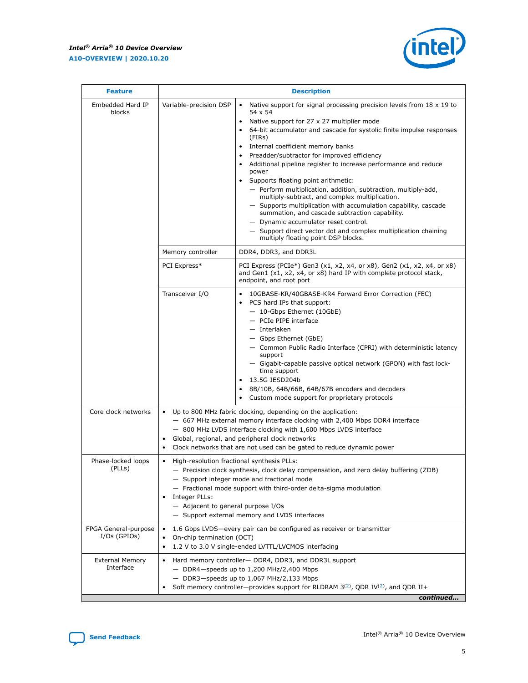

| <b>Feature</b>                         |                                                                                                                                                                                                                                                              | <b>Description</b>                                                                                                                                                                                                                                                                                                                                                                                                                                                                                                                                                                                                                                                                                                                                                                                                                                  |  |  |  |  |  |
|----------------------------------------|--------------------------------------------------------------------------------------------------------------------------------------------------------------------------------------------------------------------------------------------------------------|-----------------------------------------------------------------------------------------------------------------------------------------------------------------------------------------------------------------------------------------------------------------------------------------------------------------------------------------------------------------------------------------------------------------------------------------------------------------------------------------------------------------------------------------------------------------------------------------------------------------------------------------------------------------------------------------------------------------------------------------------------------------------------------------------------------------------------------------------------|--|--|--|--|--|
| Embedded Hard IP<br>blocks             | Variable-precision DSP                                                                                                                                                                                                                                       | Native support for signal processing precision levels from $18 \times 19$ to<br>$\bullet$<br>54 x 54<br>Native support for 27 x 27 multiplier mode<br>64-bit accumulator and cascade for systolic finite impulse responses<br>(FIRs)<br>Internal coefficient memory banks<br>Preadder/subtractor for improved efficiency<br>Additional pipeline register to increase performance and reduce<br>power<br>Supports floating point arithmetic:<br>$\bullet$<br>- Perform multiplication, addition, subtraction, multiply-add,<br>multiply-subtract, and complex multiplication.<br>- Supports multiplication with accumulation capability, cascade<br>summation, and cascade subtraction capability.<br>- Dynamic accumulator reset control.<br>- Support direct vector dot and complex multiplication chaining<br>multiply floating point DSP blocks. |  |  |  |  |  |
|                                        | Memory controller                                                                                                                                                                                                                                            | DDR4, DDR3, and DDR3L                                                                                                                                                                                                                                                                                                                                                                                                                                                                                                                                                                                                                                                                                                                                                                                                                               |  |  |  |  |  |
|                                        | PCI Express*                                                                                                                                                                                                                                                 | PCI Express (PCIe*) Gen3 (x1, x2, x4, or x8), Gen2 (x1, x2, x4, or x8)<br>and Gen1 (x1, x2, x4, or x8) hard IP with complete protocol stack,<br>endpoint, and root port                                                                                                                                                                                                                                                                                                                                                                                                                                                                                                                                                                                                                                                                             |  |  |  |  |  |
|                                        | Transceiver I/O                                                                                                                                                                                                                                              | 10GBASE-KR/40GBASE-KR4 Forward Error Correction (FEC)<br>PCS hard IPs that support:<br>- 10-Gbps Ethernet (10GbE)<br>- PCIe PIPE interface<br>- Interlaken<br>- Gbps Ethernet (GbE)<br>- Common Public Radio Interface (CPRI) with deterministic latency<br>support<br>- Gigabit-capable passive optical network (GPON) with fast lock-<br>time support<br>13.5G JESD204b<br>8B/10B, 64B/66B, 64B/67B encoders and decoders<br>Custom mode support for proprietary protocols                                                                                                                                                                                                                                                                                                                                                                        |  |  |  |  |  |
| Core clock networks                    | ٠<br>$\bullet$                                                                                                                                                                                                                                               | Up to 800 MHz fabric clocking, depending on the application:<br>- 667 MHz external memory interface clocking with 2,400 Mbps DDR4 interface<br>- 800 MHz LVDS interface clocking with 1,600 Mbps LVDS interface<br>Global, regional, and peripheral clock networks<br>Clock networks that are not used can be gated to reduce dynamic power                                                                                                                                                                                                                                                                                                                                                                                                                                                                                                         |  |  |  |  |  |
| Phase-locked loops<br>(PLLs)           | High-resolution fractional synthesis PLLs:<br>$\bullet$<br>Integer PLLs:<br>- Adjacent to general purpose I/Os                                                                                                                                               | - Precision clock synthesis, clock delay compensation, and zero delay buffering (ZDB)<br>- Support integer mode and fractional mode<br>- Fractional mode support with third-order delta-sigma modulation<br>- Support external memory and LVDS interfaces                                                                                                                                                                                                                                                                                                                                                                                                                                                                                                                                                                                           |  |  |  |  |  |
| FPGA General-purpose<br>$I/Os$ (GPIOs) | 1.6 Gbps LVDS-every pair can be configured as receiver or transmitter<br>$\bullet$<br>On-chip termination (OCT)<br>1.2 V to 3.0 V single-ended LVTTL/LVCMOS interfacing                                                                                      |                                                                                                                                                                                                                                                                                                                                                                                                                                                                                                                                                                                                                                                                                                                                                                                                                                                     |  |  |  |  |  |
| <b>External Memory</b><br>Interface    | Hard memory controller- DDR4, DDR3, and DDR3L support<br>$-$ DDR4-speeds up to 1,200 MHz/2,400 Mbps<br>- DDR3-speeds up to 1,067 MHz/2,133 Mbps<br>Soft memory controller—provides support for RLDRAM $3^{(2)}$ , QDR IV $^{(2)}$ , and QDR II+<br>continued |                                                                                                                                                                                                                                                                                                                                                                                                                                                                                                                                                                                                                                                                                                                                                                                                                                                     |  |  |  |  |  |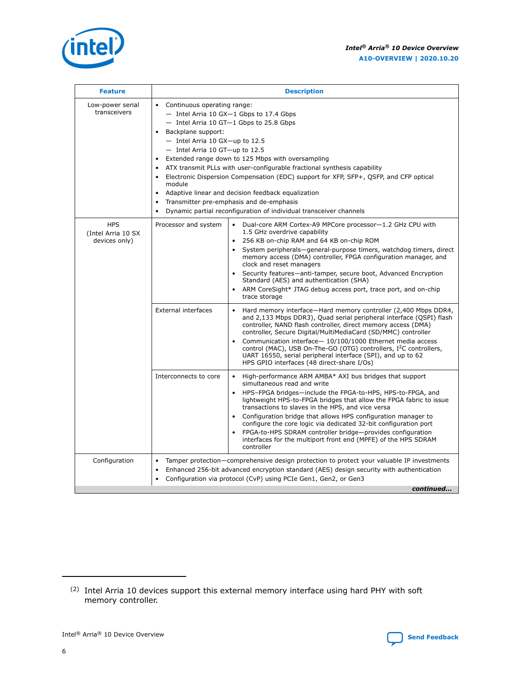

| <b>Feature</b>                                    | <b>Description</b>                                                                                                                                                                                                                                                                                                                                                                                                                                                                                                                                                                                                                                                          |  |  |  |  |  |  |  |  |
|---------------------------------------------------|-----------------------------------------------------------------------------------------------------------------------------------------------------------------------------------------------------------------------------------------------------------------------------------------------------------------------------------------------------------------------------------------------------------------------------------------------------------------------------------------------------------------------------------------------------------------------------------------------------------------------------------------------------------------------------|--|--|--|--|--|--|--|--|
| Low-power serial<br>transceivers                  | • Continuous operating range:<br>$-$ Intel Arria 10 GX $-1$ Gbps to 17.4 Gbps<br>- Intel Arria 10 GT-1 Gbps to 25.8 Gbps<br>Backplane support:<br>$\bullet$<br>$-$ Intel Arria 10 GX-up to 12.5<br>$-$ Intel Arria 10 GT-up to 12.5<br>Extended range down to 125 Mbps with oversampling<br>$\bullet$<br>ATX transmit PLLs with user-configurable fractional synthesis capability<br>• Electronic Dispersion Compensation (EDC) support for XFP, SFP+, QSFP, and CFP optical<br>module<br>Adaptive linear and decision feedback equalization<br>Transmitter pre-emphasis and de-emphasis<br>$\bullet$<br>Dynamic partial reconfiguration of individual transceiver channels |  |  |  |  |  |  |  |  |
| <b>HPS</b><br>(Intel Arria 10 SX<br>devices only) | Processor and system<br>Dual-core ARM Cortex-A9 MPCore processor-1.2 GHz CPU with<br>$\bullet$<br>1.5 GHz overdrive capability<br>256 KB on-chip RAM and 64 KB on-chip ROM<br>$\bullet$<br>System peripherals—general-purpose timers, watchdog timers, direct<br>memory access (DMA) controller, FPGA configuration manager, and<br>clock and reset managers<br>• Security features-anti-tamper, secure boot, Advanced Encryption<br>Standard (AES) and authentication (SHA)<br>• ARM CoreSight* JTAG debug access port, trace port, and on-chip<br>trace storage                                                                                                           |  |  |  |  |  |  |  |  |
|                                                   | <b>External interfaces</b><br>Hard memory interface-Hard memory controller (2,400 Mbps DDR4,<br>$\bullet$<br>and 2,133 Mbps DDR3), Quad serial peripheral interface (QSPI) flash<br>controller, NAND flash controller, direct memory access (DMA)<br>controller, Secure Digital/MultiMediaCard (SD/MMC) controller<br>Communication interface-10/100/1000 Ethernet media access<br>control (MAC), USB On-The-GO (OTG) controllers, I <sup>2</sup> C controllers,<br>UART 16550, serial peripheral interface (SPI), and up to 62<br>HPS GPIO interfaces (48 direct-share I/Os)                                                                                               |  |  |  |  |  |  |  |  |
|                                                   | • High-performance ARM AMBA* AXI bus bridges that support<br>Interconnects to core<br>simultaneous read and write<br>• HPS-FPGA bridges-include the FPGA-to-HPS, HPS-to-FPGA, and<br>lightweight HPS-to-FPGA bridges that allow the FPGA fabric to issue<br>transactions to slaves in the HPS, and vice versa<br>Configuration bridge that allows HPS configuration manager to<br>configure the core logic via dedicated 32-bit configuration port<br>FPGA-to-HPS SDRAM controller bridge-provides configuration<br>interfaces for the multiport front end (MPFE) of the HPS SDRAM<br>controller                                                                            |  |  |  |  |  |  |  |  |
| Configuration                                     | Tamper protection—comprehensive design protection to protect your valuable IP investments<br>Enhanced 256-bit advanced encryption standard (AES) design security with authentication<br>$\bullet$<br>Configuration via protocol (CvP) using PCIe Gen1, Gen2, or Gen3<br>continued                                                                                                                                                                                                                                                                                                                                                                                           |  |  |  |  |  |  |  |  |



<sup>(2)</sup> Intel Arria 10 devices support this external memory interface using hard PHY with soft memory controller.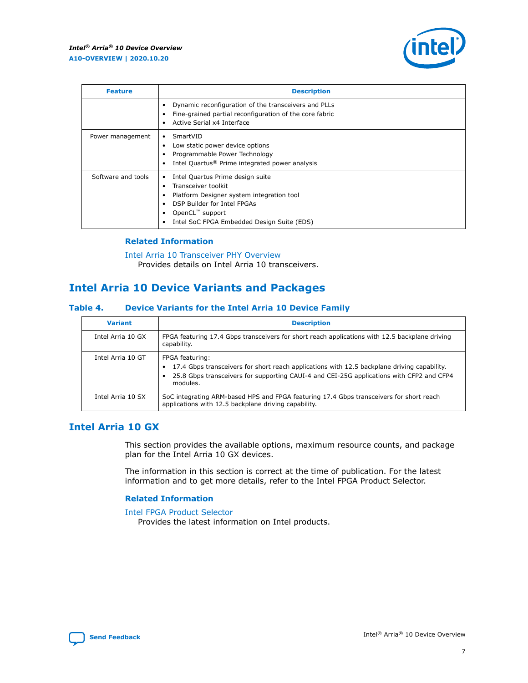

<span id="page-6-0"></span>

| <b>Feature</b>     | <b>Description</b>                                                                                                                                                                                                    |
|--------------------|-----------------------------------------------------------------------------------------------------------------------------------------------------------------------------------------------------------------------|
|                    | Dynamic reconfiguration of the transceivers and PLLs<br>Fine-grained partial reconfiguration of the core fabric<br>Active Serial x4 Interface<br>٠                                                                    |
| Power management   | SmartVID<br>٠<br>Low static power device options<br>Programmable Power Technology<br>Intel Quartus <sup>®</sup> Prime integrated power analysis                                                                       |
| Software and tools | Intel Quartus Prime design suite<br>٠<br>Transceiver toolkit<br>Platform Designer system integration tool<br>DSP Builder for Intel FPGAs<br>OpenCL <sup>™</sup> support<br>Intel SoC FPGA Embedded Design Suite (EDS) |

## **Related Information**

[Intel Arria 10 Transceiver PHY Overview](https://www.intel.com/content/www/us/en/programmable/documentation/nik1398707230472.html#nik1398706768037) Provides details on Intel Arria 10 transceivers.

## **Intel Arria 10 Device Variants and Packages**

#### **Table 4. Device Variants for the Intel Arria 10 Device Family**

| <b>Variant</b>    | <b>Description</b>                                                                                                                                                                                                     |
|-------------------|------------------------------------------------------------------------------------------------------------------------------------------------------------------------------------------------------------------------|
| Intel Arria 10 GX | FPGA featuring 17.4 Gbps transceivers for short reach applications with 12.5 backplane driving<br>capability.                                                                                                          |
| Intel Arria 10 GT | FPGA featuring:<br>17.4 Gbps transceivers for short reach applications with 12.5 backplane driving capability.<br>25.8 Gbps transceivers for supporting CAUI-4 and CEI-25G applications with CFP2 and CFP4<br>modules. |
| Intel Arria 10 SX | SoC integrating ARM-based HPS and FPGA featuring 17.4 Gbps transceivers for short reach<br>applications with 12.5 backplane driving capability.                                                                        |

## **Intel Arria 10 GX**

This section provides the available options, maximum resource counts, and package plan for the Intel Arria 10 GX devices.

The information in this section is correct at the time of publication. For the latest information and to get more details, refer to the Intel FPGA Product Selector.

## **Related Information**

#### [Intel FPGA Product Selector](http://www.altera.com/products/selector/psg-selector.html) Provides the latest information on Intel products.

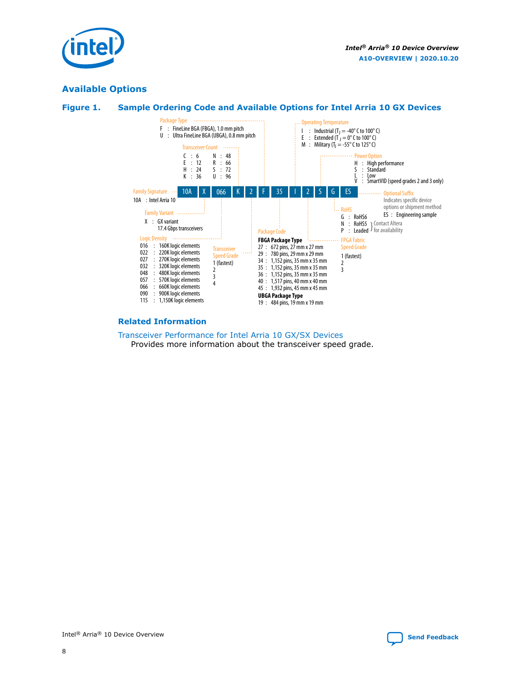

## **Available Options**

#### **Figure 1. Sample Ordering Code and Available Options for Intel Arria 10 GX Devices**



#### **Related Information**

#### [Transceiver Performance for Intel Arria 10 GX/SX Devices](https://www.intel.com/content/www/us/en/programmable/documentation/mcn1413182292568.html#mcn1413213965502) Provides more information about the transceiver speed grade.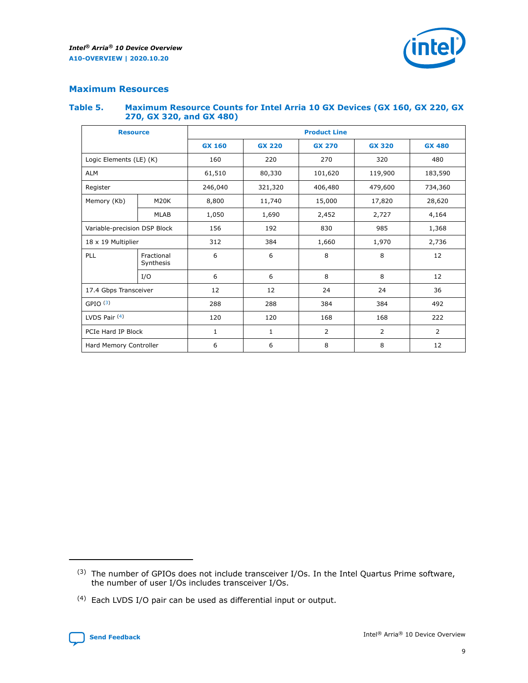

## <span id="page-8-0"></span>**Maximum Resources**

#### **Table 5. Maximum Resource Counts for Intel Arria 10 GX Devices (GX 160, GX 220, GX 270, GX 320, and GX 480)**

| <b>Resource</b>              |                         | <b>Product Line</b> |                                                 |                    |                |                |  |  |  |
|------------------------------|-------------------------|---------------------|-------------------------------------------------|--------------------|----------------|----------------|--|--|--|
|                              |                         | <b>GX 160</b>       | <b>GX 220</b><br><b>GX 270</b><br><b>GX 320</b> |                    |                | <b>GX 480</b>  |  |  |  |
| Logic Elements (LE) (K)      |                         | 160                 | 220<br>270<br>320                               |                    |                | 480            |  |  |  |
| <b>ALM</b>                   |                         | 61,510              | 80,330                                          | 101,620            | 119,900        | 183,590        |  |  |  |
| Register                     |                         | 246,040             | 321,320                                         | 406,480<br>479,600 |                | 734,360        |  |  |  |
| Memory (Kb)                  | M <sub>20</sub> K       | 8,800               | 11,740                                          | 15,000             | 17,820         | 28,620         |  |  |  |
|                              | <b>MLAB</b>             | 1,050               | 1,690                                           | 2,452              | 2,727          | 4,164          |  |  |  |
| Variable-precision DSP Block |                         | 156                 | 192                                             | 830                | 985            | 1,368          |  |  |  |
| $18 \times 19$ Multiplier    |                         | 312                 | 384                                             | 1,970<br>1,660     |                | 2,736          |  |  |  |
| PLL                          | Fractional<br>Synthesis | 6                   | 6                                               | 8                  | 8              | 12             |  |  |  |
|                              | I/O                     | 6                   | 6                                               | 8                  | 8              | 12             |  |  |  |
| 17.4 Gbps Transceiver        |                         | 12                  | 12                                              | 24                 | 24             | 36             |  |  |  |
| GPIO <sup>(3)</sup>          |                         | 288                 | 288                                             | 384                | 384            |                |  |  |  |
| LVDS Pair $(4)$              |                         | 120                 | 120                                             | 168                | 168            | 222            |  |  |  |
| PCIe Hard IP Block           |                         | 1                   | 1                                               | 2                  | $\overline{2}$ | $\overline{2}$ |  |  |  |
| Hard Memory Controller       |                         | 6                   | 6                                               | 8                  | 8              |                |  |  |  |

<sup>(4)</sup> Each LVDS I/O pair can be used as differential input or output.



<sup>(3)</sup> The number of GPIOs does not include transceiver I/Os. In the Intel Quartus Prime software, the number of user I/Os includes transceiver I/Os.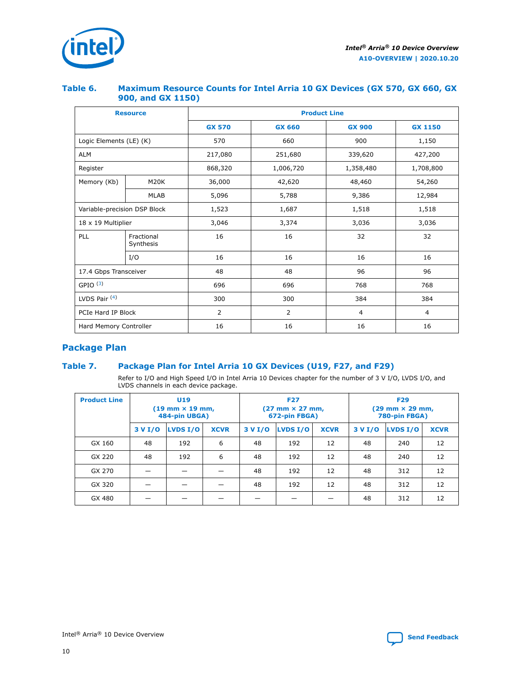

## **Table 6. Maximum Resource Counts for Intel Arria 10 GX Devices (GX 570, GX 660, GX 900, and GX 1150)**

|                              | <b>Resource</b>         | <b>Product Line</b> |                |                |                |  |  |  |
|------------------------------|-------------------------|---------------------|----------------|----------------|----------------|--|--|--|
|                              |                         | <b>GX 570</b>       | <b>GX 660</b>  | <b>GX 900</b>  | <b>GX 1150</b> |  |  |  |
| Logic Elements (LE) (K)      |                         | 570                 | 660            | 900            | 1,150          |  |  |  |
| <b>ALM</b>                   |                         | 217,080             | 251,680        | 339,620        | 427,200        |  |  |  |
| Register                     |                         | 868,320             | 1,006,720      | 1,358,480      | 1,708,800      |  |  |  |
| Memory (Kb)                  | <b>M20K</b>             | 36,000              | 42,620         | 48,460         | 54,260         |  |  |  |
|                              | <b>MLAB</b>             | 5,096               | 5,788<br>9,386 |                | 12,984         |  |  |  |
| Variable-precision DSP Block |                         | 1,523               | 1,687          | 1,518          | 1,518          |  |  |  |
| 18 x 19 Multiplier           |                         | 3,046               | 3,374          | 3,036          | 3,036          |  |  |  |
| PLL                          | Fractional<br>Synthesis | 16                  | 16             | 32             | 32             |  |  |  |
|                              | I/O                     | 16                  | 16             | 16             | 16             |  |  |  |
| 17.4 Gbps Transceiver        |                         | 48                  | 48             | 96             | 96             |  |  |  |
| GPIO <sup>(3)</sup>          |                         | 696                 | 696            | 768            | 768            |  |  |  |
| LVDS Pair $(4)$              |                         | 300                 | 300            | 384            | 384            |  |  |  |
| PCIe Hard IP Block           |                         | 2                   | $\overline{2}$ | $\overline{4}$ | $\overline{4}$ |  |  |  |
| Hard Memory Controller       |                         | 16                  | 16             | 16             |                |  |  |  |

## **Package Plan**

## **Table 7. Package Plan for Intel Arria 10 GX Devices (U19, F27, and F29)**

Refer to I/O and High Speed I/O in Intel Arria 10 Devices chapter for the number of 3 V I/O, LVDS I/O, and LVDS channels in each device package.

| <b>Product Line</b> | U <sub>19</sub><br>$(19 \text{ mm} \times 19 \text{ mm})$<br>484-pin UBGA) |          |             |         | <b>F27</b><br>(27 mm × 27 mm,<br>672-pin FBGA) |             | <b>F29</b><br>$(29 \text{ mm} \times 29 \text{ mm})$<br>780-pin FBGA) |          |             |  |
|---------------------|----------------------------------------------------------------------------|----------|-------------|---------|------------------------------------------------|-------------|-----------------------------------------------------------------------|----------|-------------|--|
|                     | 3 V I/O                                                                    | LVDS I/O | <b>XCVR</b> | 3 V I/O | <b>LVDS I/O</b>                                | <b>XCVR</b> | 3 V I/O                                                               | LVDS I/O | <b>XCVR</b> |  |
| GX 160              | 48                                                                         | 192      | 6           | 48      | 192                                            | 12          | 48                                                                    | 240      | 12          |  |
| GX 220              | 48                                                                         | 192      | 6           | 48      | 192                                            | 12          | 48                                                                    | 240      | 12          |  |
| GX 270              |                                                                            |          |             | 48      | 192                                            | 12          | 48                                                                    | 312      | 12          |  |
| GX 320              |                                                                            |          |             | 48      | 192                                            | 12          | 48                                                                    | 312      | 12          |  |
| GX 480              |                                                                            |          |             |         |                                                |             | 48                                                                    | 312      | 12          |  |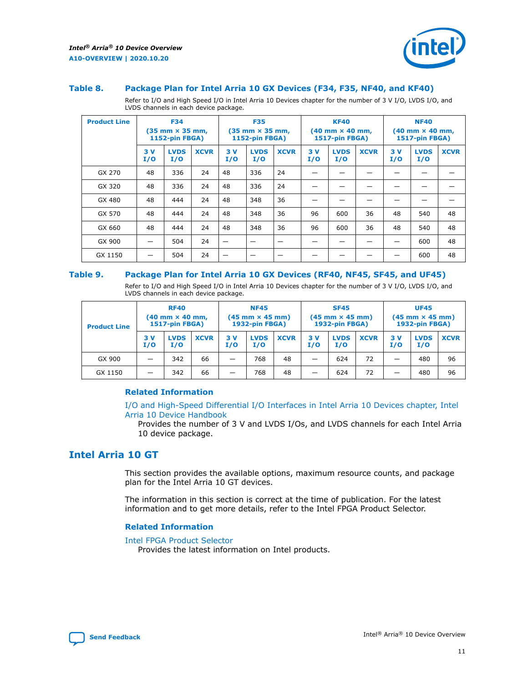

#### <span id="page-10-0"></span>**Table 8. Package Plan for Intel Arria 10 GX Devices (F34, F35, NF40, and KF40)**

Refer to I/O and High Speed I/O in Intel Arria 10 Devices chapter for the number of 3 V I/O, LVDS I/O, and LVDS channels in each device package.

| <b>Product Line</b> | <b>F34</b><br>$(35 \text{ mm} \times 35 \text{ mm})$<br>1152-pin FBGA) |                    | <b>F35</b><br>$(35$ mm $\times$ 35 mm,<br><b>1152-pin FBGA)</b> |           | <b>KF40</b><br>$(40 \text{ mm} \times 40 \text{ mm})$<br>1517-pin FBGA) |             |           | <b>NF40</b><br>$(40 \text{ mm} \times 40 \text{ mm})$<br><b>1517-pin FBGA)</b> |             |            |                    |             |
|---------------------|------------------------------------------------------------------------|--------------------|-----------------------------------------------------------------|-----------|-------------------------------------------------------------------------|-------------|-----------|--------------------------------------------------------------------------------|-------------|------------|--------------------|-------------|
|                     | 3V<br>I/O                                                              | <b>LVDS</b><br>I/O | <b>XCVR</b>                                                     | 3V<br>I/O | <b>LVDS</b><br>I/O                                                      | <b>XCVR</b> | 3V<br>I/O | <b>LVDS</b><br>I/O                                                             | <b>XCVR</b> | 3 V<br>I/O | <b>LVDS</b><br>I/O | <b>XCVR</b> |
| GX 270              | 48                                                                     | 336                | 24                                                              | 48        | 336                                                                     | 24          |           |                                                                                |             |            |                    |             |
| GX 320              | 48                                                                     | 336                | 24                                                              | 48        | 336                                                                     | 24          |           |                                                                                |             |            |                    |             |
| GX 480              | 48                                                                     | 444                | 24                                                              | 48        | 348                                                                     | 36          |           |                                                                                |             |            |                    |             |
| GX 570              | 48                                                                     | 444                | 24                                                              | 48        | 348                                                                     | 36          | 96        | 600                                                                            | 36          | 48         | 540                | 48          |
| GX 660              | 48                                                                     | 444                | 24                                                              | 48        | 348                                                                     | 36          | 96        | 600                                                                            | 36          | 48         | 540                | 48          |
| GX 900              |                                                                        | 504                | 24                                                              | –         |                                                                         |             |           |                                                                                |             |            | 600                | 48          |
| GX 1150             |                                                                        | 504                | 24                                                              |           |                                                                         |             |           |                                                                                |             |            | 600                | 48          |

#### **Table 9. Package Plan for Intel Arria 10 GX Devices (RF40, NF45, SF45, and UF45)**

Refer to I/O and High Speed I/O in Intel Arria 10 Devices chapter for the number of 3 V I/O, LVDS I/O, and LVDS channels in each device package.

| <b>Product Line</b> | <b>RF40</b><br>$(40$ mm $\times$ 40 mm,<br>1517-pin FBGA) |                    | <b>NF45</b><br>$(45 \text{ mm} \times 45 \text{ mm})$<br><b>1932-pin FBGA)</b> |            |                    | <b>SF45</b><br>$(45 \text{ mm} \times 45 \text{ mm})$<br><b>1932-pin FBGA)</b> |            |                    | <b>UF45</b><br>$(45 \text{ mm} \times 45 \text{ mm})$<br><b>1932-pin FBGA)</b> |           |                    |             |
|---------------------|-----------------------------------------------------------|--------------------|--------------------------------------------------------------------------------|------------|--------------------|--------------------------------------------------------------------------------|------------|--------------------|--------------------------------------------------------------------------------|-----------|--------------------|-------------|
|                     | 3V<br>I/O                                                 | <b>LVDS</b><br>I/O | <b>XCVR</b>                                                                    | 3 V<br>I/O | <b>LVDS</b><br>I/O | <b>XCVR</b>                                                                    | 3 V<br>I/O | <b>LVDS</b><br>I/O | <b>XCVR</b>                                                                    | 3V<br>I/O | <b>LVDS</b><br>I/O | <b>XCVR</b> |
| GX 900              |                                                           | 342                | 66                                                                             | _          | 768                | 48                                                                             |            | 624                | 72                                                                             |           | 480                | 96          |
| GX 1150             |                                                           | 342                | 66                                                                             | _          | 768                | 48                                                                             |            | 624                | 72                                                                             |           | 480                | 96          |

## **Related Information**

[I/O and High-Speed Differential I/O Interfaces in Intel Arria 10 Devices chapter, Intel](https://www.intel.com/content/www/us/en/programmable/documentation/sam1403482614086.html#sam1403482030321) [Arria 10 Device Handbook](https://www.intel.com/content/www/us/en/programmable/documentation/sam1403482614086.html#sam1403482030321)

Provides the number of 3 V and LVDS I/Os, and LVDS channels for each Intel Arria 10 device package.

## **Intel Arria 10 GT**

This section provides the available options, maximum resource counts, and package plan for the Intel Arria 10 GT devices.

The information in this section is correct at the time of publication. For the latest information and to get more details, refer to the Intel FPGA Product Selector.

#### **Related Information**

#### [Intel FPGA Product Selector](http://www.altera.com/products/selector/psg-selector.html)

Provides the latest information on Intel products.

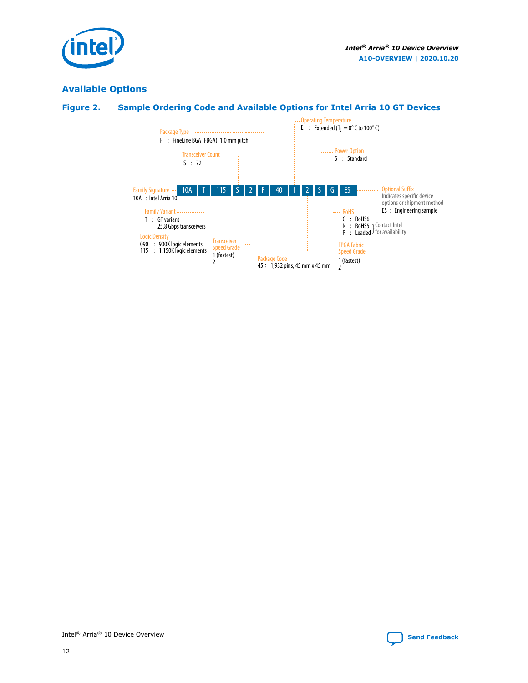

## **Available Options**



## **Figure 2. Sample Ordering Code and Available Options for Intel Arria 10 GT Devices**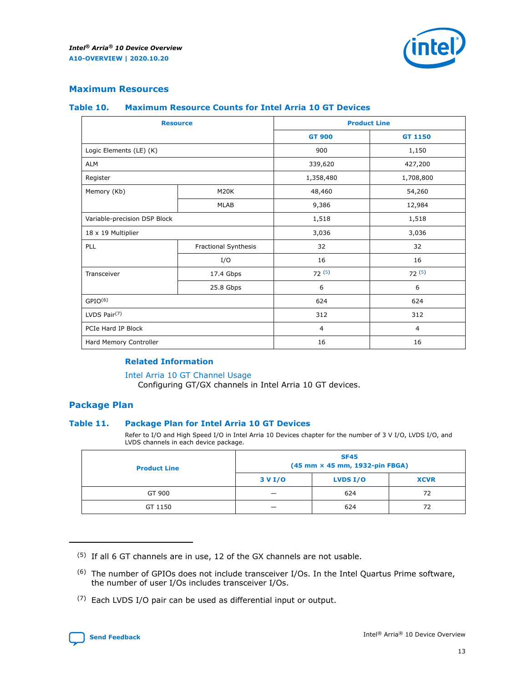

## **Maximum Resources**

#### **Table 10. Maximum Resource Counts for Intel Arria 10 GT Devices**

| <b>Resource</b>              |                      |                | <b>Product Line</b> |  |
|------------------------------|----------------------|----------------|---------------------|--|
|                              |                      | <b>GT 900</b>  | <b>GT 1150</b>      |  |
| Logic Elements (LE) (K)      |                      | 900            | 1,150               |  |
| <b>ALM</b>                   |                      | 339,620        | 427,200             |  |
| Register                     |                      | 1,358,480      | 1,708,800           |  |
| Memory (Kb)                  | M <sub>20</sub> K    | 48,460         | 54,260              |  |
|                              | <b>MLAB</b>          | 9,386          | 12,984              |  |
| Variable-precision DSP Block |                      | 1,518          | 1,518               |  |
| 18 x 19 Multiplier           |                      | 3,036          | 3,036               |  |
| PLL                          | Fractional Synthesis | 32             | 32                  |  |
|                              | I/O                  | 16             | 16                  |  |
| Transceiver                  | 17.4 Gbps            | 72(5)          | 72(5)               |  |
|                              | 25.8 Gbps            | 6              | 6                   |  |
| GPIO <sup>(6)</sup>          |                      | 624            | 624                 |  |
| LVDS Pair $(7)$              |                      | 312            | 312                 |  |
| PCIe Hard IP Block           |                      | $\overline{4}$ | $\overline{4}$      |  |
| Hard Memory Controller       |                      | 16             | 16                  |  |

#### **Related Information**

#### [Intel Arria 10 GT Channel Usage](https://www.intel.com/content/www/us/en/programmable/documentation/nik1398707230472.html#nik1398707008178)

Configuring GT/GX channels in Intel Arria 10 GT devices.

## **Package Plan**

## **Table 11. Package Plan for Intel Arria 10 GT Devices**

Refer to I/O and High Speed I/O in Intel Arria 10 Devices chapter for the number of 3 V I/O, LVDS I/O, and LVDS channels in each device package.

| <b>Product Line</b> | <b>SF45</b><br>(45 mm × 45 mm, 1932-pin FBGA) |                 |             |  |  |  |
|---------------------|-----------------------------------------------|-----------------|-------------|--|--|--|
|                     | 3 V I/O                                       | <b>LVDS I/O</b> | <b>XCVR</b> |  |  |  |
| GT 900              |                                               | 624             | 72          |  |  |  |
| GT 1150             |                                               | 624             | 72          |  |  |  |

(7) Each LVDS I/O pair can be used as differential input or output.



 $(5)$  If all 6 GT channels are in use, 12 of the GX channels are not usable.

<sup>(6)</sup> The number of GPIOs does not include transceiver I/Os. In the Intel Quartus Prime software, the number of user I/Os includes transceiver I/Os.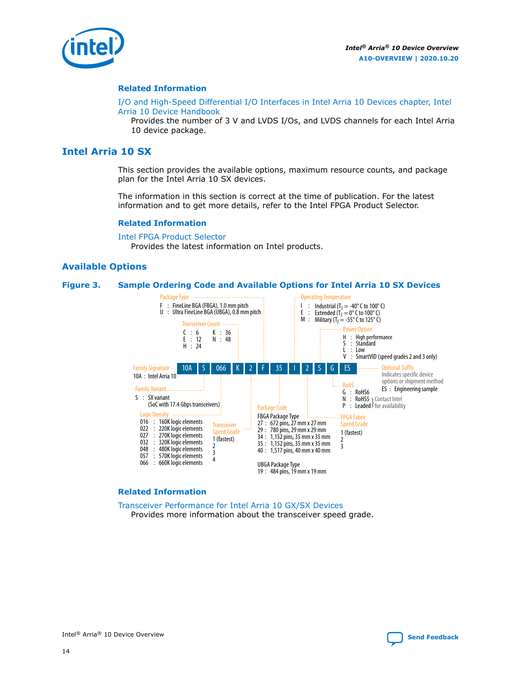<span id="page-13-0"></span>

#### **Related Information**

[I/O and High-Speed Differential I/O Interfaces in Intel Arria 10 Devices chapter, Intel](https://www.intel.com/content/www/us/en/programmable/documentation/sam1403482614086.html#sam1403482030321) [Arria 10 Device Handbook](https://www.intel.com/content/www/us/en/programmable/documentation/sam1403482614086.html#sam1403482030321)

Provides the number of 3 V and LVDS I/Os, and LVDS channels for each Intel Arria 10 device package.

## **Intel Arria 10 SX**

This section provides the available options, maximum resource counts, and package plan for the Intel Arria 10 SX devices.

The information in this section is correct at the time of publication. For the latest information and to get more details, refer to the Intel FPGA Product Selector.

#### **Related Information**

[Intel FPGA Product Selector](http://www.altera.com/products/selector/psg-selector.html) Provides the latest information on Intel products.

## **Available Options**

#### **Figure 3. Sample Ordering Code and Available Options for Intel Arria 10 SX Devices**



#### **Related Information**

[Transceiver Performance for Intel Arria 10 GX/SX Devices](https://www.intel.com/content/www/us/en/programmable/documentation/mcn1413182292568.html#mcn1413213965502) Provides more information about the transceiver speed grade.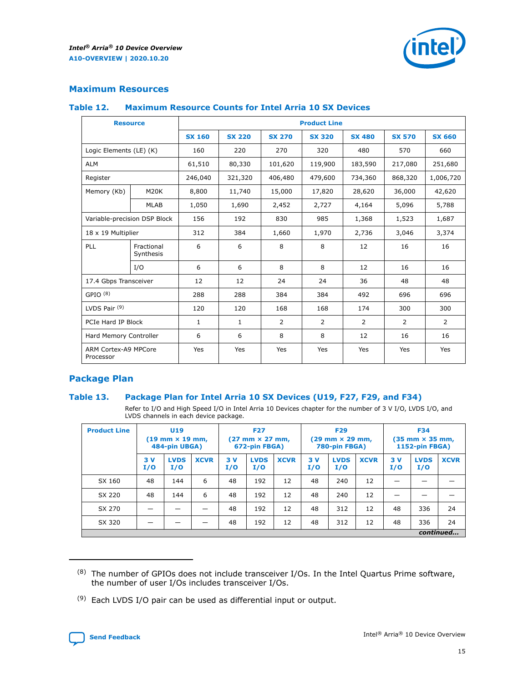

## **Maximum Resources**

#### **Table 12. Maximum Resource Counts for Intel Arria 10 SX Devices**

|                                   | <b>Resource</b>         |               |               |               | <b>Product Line</b> |               |               |                |
|-----------------------------------|-------------------------|---------------|---------------|---------------|---------------------|---------------|---------------|----------------|
|                                   |                         | <b>SX 160</b> | <b>SX 220</b> | <b>SX 270</b> | <b>SX 320</b>       | <b>SX 480</b> | <b>SX 570</b> | <b>SX 660</b>  |
| Logic Elements (LE) (K)           |                         | 160           | 220           | 270           | 320                 | 480           | 570           | 660            |
| <b>ALM</b>                        |                         | 61,510        | 80,330        | 101,620       | 119,900             | 183,590       | 217,080       | 251,680        |
| Register                          |                         | 246,040       | 321,320       | 406,480       | 479,600             | 734,360       | 868,320       | 1,006,720      |
| Memory (Kb)                       | <b>M20K</b>             | 8,800         | 11,740        | 15,000        | 17,820              | 28,620        | 36,000        | 42,620         |
|                                   | <b>MLAB</b>             | 1,050         | 1,690         | 2,452         | 2,727               | 4,164         | 5,096         | 5,788          |
| Variable-precision DSP Block      |                         | 156           | 192           | 830           | 985                 | 1,368         | 1,523         | 1,687          |
| 18 x 19 Multiplier                |                         | 312           | 384           | 1,660         | 1,970               | 2,736         | 3,046         | 3,374          |
| PLL                               | Fractional<br>Synthesis | 6             | 6             | 8             | 8                   | 12            | 16            | 16             |
|                                   | I/O                     | 6             | 6             | 8             | 8                   | 12            | 16            | 16             |
| 17.4 Gbps Transceiver             |                         | 12            | 12            | 24            | 24                  | 36            | 48            | 48             |
| GPIO <sup>(8)</sup>               |                         | 288           | 288           | 384           | 384                 | 492           | 696           | 696            |
| LVDS Pair $(9)$                   |                         | 120           | 120           | 168           | 168                 | 174           | 300           | 300            |
| PCIe Hard IP Block                |                         | $\mathbf{1}$  | $\mathbf{1}$  | 2             | 2                   | 2             | 2             | $\overline{2}$ |
| Hard Memory Controller            |                         | 6             | 6             | 8             | 8                   | 12            | 16            | 16             |
| ARM Cortex-A9 MPCore<br>Processor |                         | Yes           | Yes           | Yes           | Yes                 | Yes           | Yes           | Yes            |

## **Package Plan**

## **Table 13. Package Plan for Intel Arria 10 SX Devices (U19, F27, F29, and F34)**

Refer to I/O and High Speed I/O in Intel Arria 10 Devices chapter for the number of 3 V I/O, LVDS I/O, and LVDS channels in each device package.

| <b>Product Line</b> | <b>U19</b><br>$(19 \text{ mm} \times 19 \text{ mm})$<br>484-pin UBGA) |                    |             | <b>F27</b><br>$(27 \text{ mm} \times 27 \text{ mm})$<br>672-pin FBGA) |                    | <b>F29</b><br>$(29 \text{ mm} \times 29 \text{ mm})$<br>780-pin FBGA) |           |                    | <b>F34</b><br>$(35 \text{ mm} \times 35 \text{ mm})$<br><b>1152-pin FBGA)</b> |           |                    |             |
|---------------------|-----------------------------------------------------------------------|--------------------|-------------|-----------------------------------------------------------------------|--------------------|-----------------------------------------------------------------------|-----------|--------------------|-------------------------------------------------------------------------------|-----------|--------------------|-------------|
|                     | 3V<br>I/O                                                             | <b>LVDS</b><br>I/O | <b>XCVR</b> | 3V<br>I/O                                                             | <b>LVDS</b><br>I/O | <b>XCVR</b>                                                           | 3V<br>I/O | <b>LVDS</b><br>I/O | <b>XCVR</b>                                                                   | 3V<br>I/O | <b>LVDS</b><br>I/O | <b>XCVR</b> |
| SX 160              | 48                                                                    | 144                | 6           | 48                                                                    | 192                | 12                                                                    | 48        | 240                | 12                                                                            | -         |                    |             |
| SX 220              | 48                                                                    | 144                | 6           | 48                                                                    | 192                | 12                                                                    | 48        | 240                | 12                                                                            |           |                    |             |
| SX 270              |                                                                       |                    |             | 48                                                                    | 192                | 12                                                                    | 48        | 312                | 12                                                                            | 48        | 336                | 24          |
| SX 320              |                                                                       |                    |             | 48                                                                    | 192                | 12                                                                    | 48        | 312                | 12                                                                            | 48        | 336                | 24          |
|                     | continued                                                             |                    |             |                                                                       |                    |                                                                       |           |                    |                                                                               |           |                    |             |

 $(8)$  The number of GPIOs does not include transceiver I/Os. In the Intel Quartus Prime software, the number of user I/Os includes transceiver I/Os.

 $(9)$  Each LVDS I/O pair can be used as differential input or output.

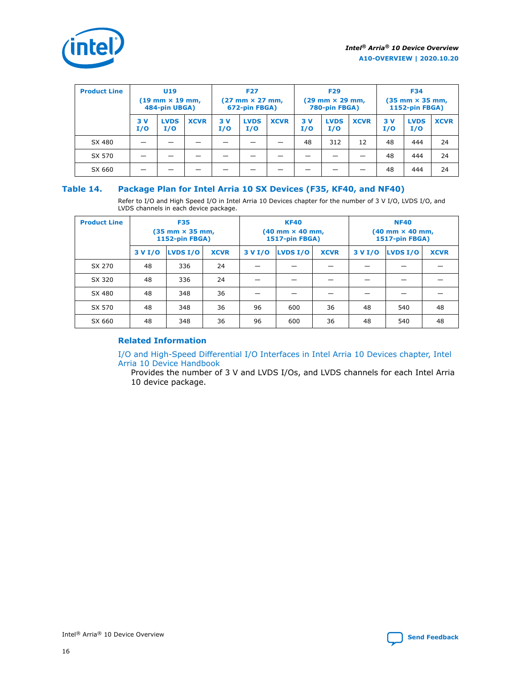

| <b>Product Line</b> | U <sub>19</sub><br>$(19 \text{ mm} \times 19 \text{ mm})$<br>484-pin UBGA) |                    | <b>F27</b><br>$(27 \text{ mm} \times 27 \text{ mm})$<br>672-pin FBGA) |           | <b>F29</b><br>$(29$ mm $\times$ 29 mm,<br>780-pin FBGA) |             |           | <b>F34</b><br>$(35 \text{ mm} \times 35 \text{ mm})$<br><b>1152-pin FBGA)</b> |             |           |                    |             |
|---------------------|----------------------------------------------------------------------------|--------------------|-----------------------------------------------------------------------|-----------|---------------------------------------------------------|-------------|-----------|-------------------------------------------------------------------------------|-------------|-----------|--------------------|-------------|
|                     | 3V<br>I/O                                                                  | <b>LVDS</b><br>I/O | <b>XCVR</b>                                                           | 3V<br>I/O | <b>LVDS</b><br>I/O                                      | <b>XCVR</b> | 3V<br>I/O | <b>LVDS</b><br>I/O                                                            | <b>XCVR</b> | 3V<br>I/O | <b>LVDS</b><br>I/O | <b>XCVR</b> |
| SX 480              |                                                                            |                    |                                                                       |           |                                                         |             | 48        | 312                                                                           | 12          | 48        | 444                | 24          |
| SX 570              |                                                                            |                    |                                                                       |           |                                                         |             |           |                                                                               |             | 48        | 444                | 24          |
| SX 660              |                                                                            |                    |                                                                       |           |                                                         |             |           |                                                                               |             | 48        | 444                | 24          |

## **Table 14. Package Plan for Intel Arria 10 SX Devices (F35, KF40, and NF40)**

Refer to I/O and High Speed I/O in Intel Arria 10 Devices chapter for the number of 3 V I/O, LVDS I/O, and LVDS channels in each device package.

| <b>Product Line</b> | <b>F35</b><br>(35 mm × 35 mm,<br>1152-pin FBGA) |          |             |                                           | <b>KF40</b><br>(40 mm × 40 mm,<br>1517-pin FBGA) |    | <b>NF40</b><br>(40 mm × 40 mm,<br>1517-pin FBGA) |          |             |  |
|---------------------|-------------------------------------------------|----------|-------------|-------------------------------------------|--------------------------------------------------|----|--------------------------------------------------|----------|-------------|--|
|                     | 3 V I/O                                         | LVDS I/O | <b>XCVR</b> | <b>LVDS I/O</b><br><b>XCVR</b><br>3 V I/O |                                                  |    | 3 V I/O                                          | LVDS I/O | <b>XCVR</b> |  |
| SX 270              | 48                                              | 336      | 24          |                                           |                                                  |    |                                                  |          |             |  |
| SX 320              | 48                                              | 336      | 24          |                                           |                                                  |    |                                                  |          |             |  |
| SX 480              | 48                                              | 348      | 36          |                                           |                                                  |    |                                                  |          |             |  |
| SX 570              | 48                                              | 348      | 36          | 96<br>600                                 |                                                  | 36 | 48                                               | 540      | 48          |  |
| SX 660              | 48                                              | 348      | 36          | 96                                        | 600                                              | 36 | 48                                               | 540      | 48          |  |

## **Related Information**

[I/O and High-Speed Differential I/O Interfaces in Intel Arria 10 Devices chapter, Intel](https://www.intel.com/content/www/us/en/programmable/documentation/sam1403482614086.html#sam1403482030321) [Arria 10 Device Handbook](https://www.intel.com/content/www/us/en/programmable/documentation/sam1403482614086.html#sam1403482030321)

Provides the number of 3 V and LVDS I/Os, and LVDS channels for each Intel Arria 10 device package.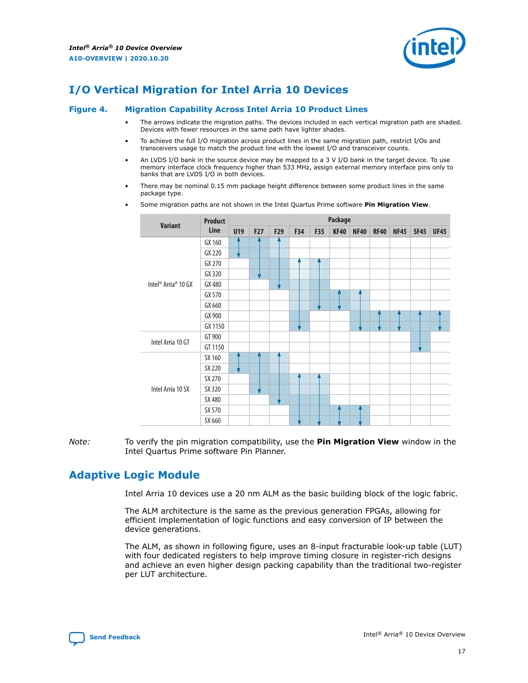

## <span id="page-16-0"></span>**I/O Vertical Migration for Intel Arria 10 Devices**

#### **Figure 4. Migration Capability Across Intel Arria 10 Product Lines**

- The arrows indicate the migration paths. The devices included in each vertical migration path are shaded. Devices with fewer resources in the same path have lighter shades.
- To achieve the full I/O migration across product lines in the same migration path, restrict I/Os and transceivers usage to match the product line with the lowest I/O and transceiver counts.
- An LVDS I/O bank in the source device may be mapped to a 3 V I/O bank in the target device. To use memory interface clock frequency higher than 533 MHz, assign external memory interface pins only to banks that are LVDS I/O in both devices.
- There may be nominal 0.15 mm package height difference between some product lines in the same package type.
	- **Variant Product Line Package U19 F27 F29 F34 F35 KF40 NF40 RF40 NF45 SF45 UF45** Intel® Arria® 10 GX GX 160 GX 220 GX 270 GX 320 GX 480 GX 570 GX 660 GX 900 GX 1150 Intel Arria 10 GT GT 900 GT 1150 Intel Arria 10 SX SX 160 SX 220 SX 270 SX 320 SX 480 SX 570 SX 660
- Some migration paths are not shown in the Intel Quartus Prime software **Pin Migration View**.

*Note:* To verify the pin migration compatibility, use the **Pin Migration View** window in the Intel Quartus Prime software Pin Planner.

## **Adaptive Logic Module**

Intel Arria 10 devices use a 20 nm ALM as the basic building block of the logic fabric.

The ALM architecture is the same as the previous generation FPGAs, allowing for efficient implementation of logic functions and easy conversion of IP between the device generations.

The ALM, as shown in following figure, uses an 8-input fracturable look-up table (LUT) with four dedicated registers to help improve timing closure in register-rich designs and achieve an even higher design packing capability than the traditional two-register per LUT architecture.

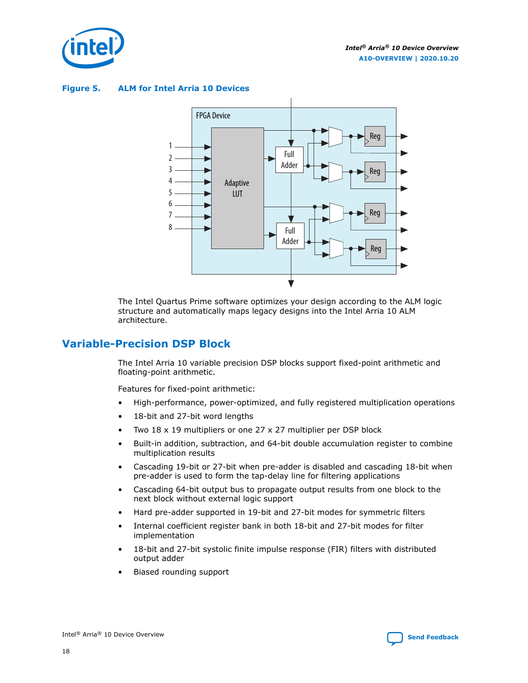<span id="page-17-0"></span>

**Figure 5. ALM for Intel Arria 10 Devices**



The Intel Quartus Prime software optimizes your design according to the ALM logic structure and automatically maps legacy designs into the Intel Arria 10 ALM architecture.

## **Variable-Precision DSP Block**

The Intel Arria 10 variable precision DSP blocks support fixed-point arithmetic and floating-point arithmetic.

Features for fixed-point arithmetic:

- High-performance, power-optimized, and fully registered multiplication operations
- 18-bit and 27-bit word lengths
- Two 18 x 19 multipliers or one 27 x 27 multiplier per DSP block
- Built-in addition, subtraction, and 64-bit double accumulation register to combine multiplication results
- Cascading 19-bit or 27-bit when pre-adder is disabled and cascading 18-bit when pre-adder is used to form the tap-delay line for filtering applications
- Cascading 64-bit output bus to propagate output results from one block to the next block without external logic support
- Hard pre-adder supported in 19-bit and 27-bit modes for symmetric filters
- Internal coefficient register bank in both 18-bit and 27-bit modes for filter implementation
- 18-bit and 27-bit systolic finite impulse response (FIR) filters with distributed output adder
- Biased rounding support

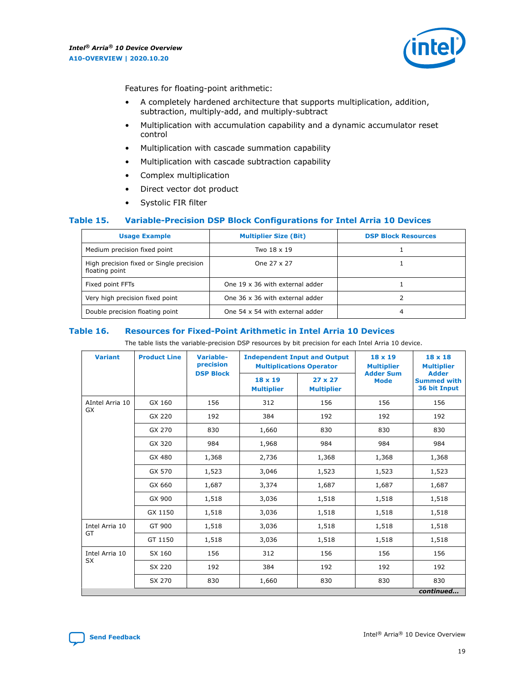

Features for floating-point arithmetic:

- A completely hardened architecture that supports multiplication, addition, subtraction, multiply-add, and multiply-subtract
- Multiplication with accumulation capability and a dynamic accumulator reset control
- Multiplication with cascade summation capability
- Multiplication with cascade subtraction capability
- Complex multiplication
- Direct vector dot product
- Systolic FIR filter

## **Table 15. Variable-Precision DSP Block Configurations for Intel Arria 10 Devices**

| <b>Usage Example</b>                                       | <b>Multiplier Size (Bit)</b>    | <b>DSP Block Resources</b> |
|------------------------------------------------------------|---------------------------------|----------------------------|
| Medium precision fixed point                               | Two 18 x 19                     |                            |
| High precision fixed or Single precision<br>floating point | One 27 x 27                     |                            |
| Fixed point FFTs                                           | One 19 x 36 with external adder |                            |
| Very high precision fixed point                            | One 36 x 36 with external adder |                            |
| Double precision floating point                            | One 54 x 54 with external adder | 4                          |

#### **Table 16. Resources for Fixed-Point Arithmetic in Intel Arria 10 Devices**

The table lists the variable-precision DSP resources by bit precision for each Intel Arria 10 device.

| <b>Variant</b>  | <b>Product Line</b> | Variable-<br>precision | <b>Independent Input and Output</b><br><b>Multiplications Operator</b> |                                     | 18 x 19<br><b>Multiplier</b><br><b>Adder Sum</b> | $18 \times 18$<br><b>Multiplier</b>                |
|-----------------|---------------------|------------------------|------------------------------------------------------------------------|-------------------------------------|--------------------------------------------------|----------------------------------------------------|
|                 |                     | <b>DSP Block</b>       | $18 \times 19$<br><b>Multiplier</b>                                    | $27 \times 27$<br><b>Multiplier</b> | <b>Mode</b>                                      | <b>Adder</b><br><b>Summed with</b><br>36 bit Input |
| AIntel Arria 10 | GX 160              | 156                    | 312                                                                    | 156                                 | 156                                              | 156                                                |
| <b>GX</b>       | GX 220              | 192                    | 384                                                                    | 192                                 | 192                                              | 192                                                |
|                 | GX 270              | 830                    | 1,660                                                                  | 830                                 | 830                                              | 830                                                |
|                 | GX 320              | 984                    | 1,968                                                                  | 984                                 | 984                                              | 984                                                |
|                 | GX 480              | 1,368                  | 2,736                                                                  | 1,368                               | 1,368                                            | 1,368                                              |
|                 | GX 570              | 1,523                  | 3,046                                                                  | 1,523                               | 1,523                                            | 1,523                                              |
|                 | GX 660              | 1,687                  | 3,374                                                                  | 1,687                               | 1,687                                            | 1,687                                              |
|                 | GX 900              | 1,518                  | 3,036                                                                  | 1,518                               | 1,518                                            | 1,518                                              |
|                 | GX 1150             | 1,518                  | 3,036                                                                  | 1,518                               | 1,518                                            | 1,518                                              |
| Intel Arria 10  | GT 900              | 1,518                  | 3,036                                                                  | 1,518                               | 1,518                                            | 1,518                                              |
| GT              | GT 1150             | 1,518                  | 3,036                                                                  | 1,518                               | 1,518                                            | 1,518                                              |
| Intel Arria 10  | SX 160              | 156                    | 312                                                                    | 156                                 | 156                                              | 156                                                |
| <b>SX</b>       | SX 220              | 192                    | 384                                                                    | 192                                 | 192                                              | 192                                                |
|                 | SX 270              | 830                    | 1,660                                                                  | 830                                 | 830                                              | 830                                                |
|                 |                     |                        |                                                                        |                                     |                                                  | continued                                          |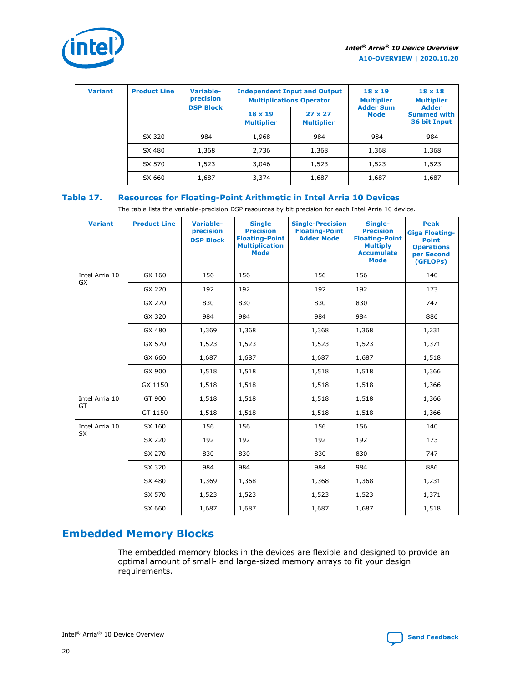<span id="page-19-0"></span>

| <b>Variant</b> | <b>Product Line</b> | <b>Variable-</b><br>precision<br><b>DSP Block</b> | <b>Independent Input and Output</b><br><b>Multiplications Operator</b> |                                     | $18 \times 19$<br><b>Multiplier</b><br><b>Adder Sum</b> | $18 \times 18$<br><b>Multiplier</b><br><b>Adder</b> |  |
|----------------|---------------------|---------------------------------------------------|------------------------------------------------------------------------|-------------------------------------|---------------------------------------------------------|-----------------------------------------------------|--|
|                |                     |                                                   | 18 x 19<br><b>Multiplier</b>                                           | $27 \times 27$<br><b>Multiplier</b> | <b>Mode</b>                                             | <b>Summed with</b><br>36 bit Input                  |  |
|                | SX 320              | 984                                               | 1,968                                                                  | 984                                 | 984                                                     | 984                                                 |  |
|                | SX 480              | 1,368                                             | 2,736                                                                  | 1,368                               | 1,368                                                   | 1,368                                               |  |
|                | SX 570              | 1,523                                             | 3,046                                                                  | 1,523                               | 1,523                                                   | 1,523                                               |  |
|                | SX 660              | 1,687                                             | 3,374                                                                  | 1,687                               | 1,687                                                   | 1,687                                               |  |

## **Table 17. Resources for Floating-Point Arithmetic in Intel Arria 10 Devices**

The table lists the variable-precision DSP resources by bit precision for each Intel Arria 10 device.

| <b>Variant</b> | <b>Product Line</b> | <b>Variable-</b><br>precision<br><b>DSP Block</b> | <b>Single</b><br><b>Precision</b><br><b>Floating-Point</b><br><b>Multiplication</b><br><b>Mode</b> | <b>Single-Precision</b><br><b>Floating-Point</b><br><b>Adder Mode</b> | Single-<br><b>Precision</b><br><b>Floating-Point</b><br><b>Multiply</b><br><b>Accumulate</b><br><b>Mode</b> | <b>Peak</b><br><b>Giga Floating-</b><br><b>Point</b><br><b>Operations</b><br>per Second<br>(GFLOPs) |
|----------------|---------------------|---------------------------------------------------|----------------------------------------------------------------------------------------------------|-----------------------------------------------------------------------|-------------------------------------------------------------------------------------------------------------|-----------------------------------------------------------------------------------------------------|
| Intel Arria 10 | GX 160              | 156                                               | 156                                                                                                | 156                                                                   | 156                                                                                                         | 140                                                                                                 |
| GX             | GX 220              | 192                                               | 192                                                                                                | 192                                                                   | 192                                                                                                         | 173                                                                                                 |
|                | GX 270              | 830                                               | 830                                                                                                | 830                                                                   | 830                                                                                                         | 747                                                                                                 |
|                | GX 320              | 984                                               | 984                                                                                                | 984                                                                   | 984                                                                                                         | 886                                                                                                 |
|                | GX 480              | 1,369                                             | 1,368                                                                                              | 1,368                                                                 | 1,368                                                                                                       | 1,231                                                                                               |
|                | GX 570              | 1,523                                             | 1,523                                                                                              | 1,523                                                                 | 1,523                                                                                                       | 1,371                                                                                               |
|                | GX 660              | 1,687                                             | 1,687                                                                                              | 1,687                                                                 | 1,687                                                                                                       | 1,518                                                                                               |
|                | GX 900              | 1,518                                             | 1,518                                                                                              | 1,518                                                                 | 1,518                                                                                                       | 1,366                                                                                               |
|                | GX 1150             | 1,518                                             | 1,518                                                                                              | 1,518                                                                 | 1,518                                                                                                       | 1,366                                                                                               |
| Intel Arria 10 | GT 900              | 1,518                                             | 1,518                                                                                              | 1,518                                                                 | 1,518                                                                                                       | 1,366                                                                                               |
| GT             | GT 1150             | 1,518                                             | 1,518                                                                                              | 1,518                                                                 | 1,518                                                                                                       | 1,366                                                                                               |
| Intel Arria 10 | SX 160              | 156                                               | 156                                                                                                | 156                                                                   | 156                                                                                                         | 140                                                                                                 |
| <b>SX</b>      | SX 220              | 192                                               | 192                                                                                                | 192                                                                   | 192                                                                                                         | 173                                                                                                 |
|                | SX 270              | 830                                               | 830                                                                                                | 830                                                                   | 830                                                                                                         | 747                                                                                                 |
|                | SX 320              | 984                                               | 984                                                                                                | 984                                                                   | 984                                                                                                         | 886                                                                                                 |
|                | SX 480              | 1,369                                             | 1,368                                                                                              | 1,368                                                                 | 1,368                                                                                                       | 1,231                                                                                               |
|                | SX 570              | 1,523                                             | 1,523                                                                                              | 1,523                                                                 | 1,523                                                                                                       | 1,371                                                                                               |
|                | SX 660              | 1,687                                             | 1,687                                                                                              | 1,687                                                                 | 1,687                                                                                                       | 1,518                                                                                               |

## **Embedded Memory Blocks**

The embedded memory blocks in the devices are flexible and designed to provide an optimal amount of small- and large-sized memory arrays to fit your design requirements.

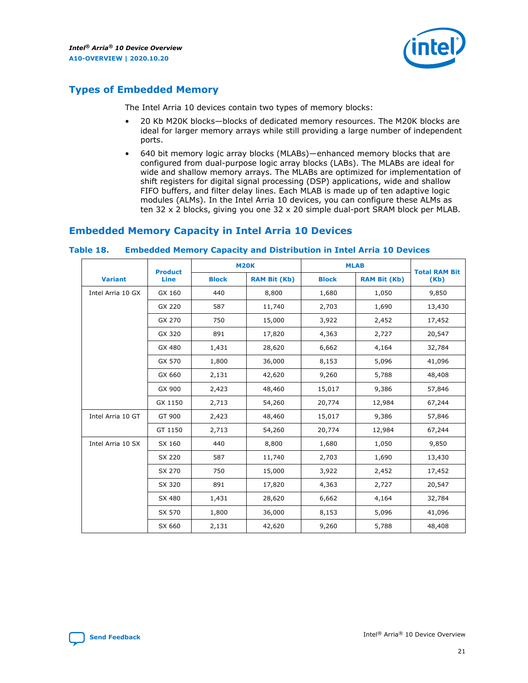

## <span id="page-20-0"></span>**Types of Embedded Memory**

The Intel Arria 10 devices contain two types of memory blocks:

- 20 Kb M20K blocks—blocks of dedicated memory resources. The M20K blocks are ideal for larger memory arrays while still providing a large number of independent ports.
- 640 bit memory logic array blocks (MLABs)—enhanced memory blocks that are configured from dual-purpose logic array blocks (LABs). The MLABs are ideal for wide and shallow memory arrays. The MLABs are optimized for implementation of shift registers for digital signal processing (DSP) applications, wide and shallow FIFO buffers, and filter delay lines. Each MLAB is made up of ten adaptive logic modules (ALMs). In the Intel Arria 10 devices, you can configure these ALMs as ten 32 x 2 blocks, giving you one 32 x 20 simple dual-port SRAM block per MLAB.

## **Embedded Memory Capacity in Intel Arria 10 Devices**

|                   | <b>Product</b> | <b>M20K</b>  |                     | <b>MLAB</b>  |                     | <b>Total RAM Bit</b> |
|-------------------|----------------|--------------|---------------------|--------------|---------------------|----------------------|
| <b>Variant</b>    | <b>Line</b>    | <b>Block</b> | <b>RAM Bit (Kb)</b> | <b>Block</b> | <b>RAM Bit (Kb)</b> | (Kb)                 |
| Intel Arria 10 GX | GX 160         | 440          | 8,800               | 1,680        | 1,050               | 9,850                |
|                   | GX 220         | 587          | 11,740              | 2,703        | 1,690               | 13,430               |
|                   | GX 270         | 750          | 15,000              | 3,922        | 2,452               | 17,452               |
|                   | GX 320         | 891          | 17,820              | 4,363        | 2,727               | 20,547               |
|                   | GX 480         | 1,431        | 28,620              | 6,662        | 4,164               | 32,784               |
|                   | GX 570         | 1,800        | 36,000              | 8,153        | 5,096               | 41,096               |
|                   | GX 660         | 2,131        | 42,620              | 9,260        | 5,788               | 48,408               |
|                   | GX 900         | 2,423        | 48,460              | 15,017       | 9,386               | 57,846               |
|                   | GX 1150        | 2,713        | 54,260              | 20,774       | 12,984              | 67,244               |
| Intel Arria 10 GT | GT 900         | 2,423        | 48,460              | 15,017       | 9,386               | 57,846               |
|                   | GT 1150        | 2,713        | 54,260              | 20,774       | 12,984              | 67,244               |
| Intel Arria 10 SX | SX 160         | 440          | 8,800               | 1,680        | 1,050               | 9,850                |
|                   | SX 220         | 587          | 11,740              | 2,703        | 1,690               | 13,430               |
|                   | SX 270         | 750          | 15,000              | 3,922        | 2,452               | 17,452               |
|                   | SX 320         | 891          | 17,820              | 4,363        | 2,727               | 20,547               |
|                   | SX 480         | 1,431        | 28,620              | 6,662        | 4,164               | 32,784               |
|                   | SX 570         | 1,800        | 36,000              | 8,153        | 5,096               | 41,096               |
|                   | SX 660         | 2,131        | 42,620              | 9,260        | 5,788               | 48,408               |

#### **Table 18. Embedded Memory Capacity and Distribution in Intel Arria 10 Devices**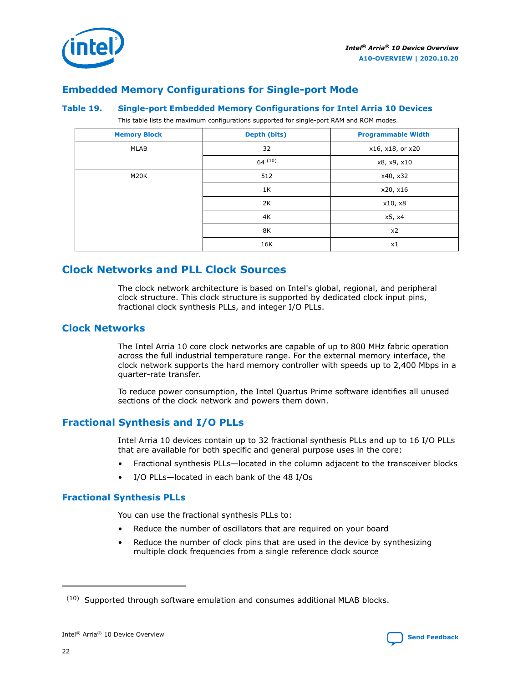

<span id="page-21-0"></span>

## **Embedded Memory Configurations for Single-port Mode**

#### **Table 19. Single-port Embedded Memory Configurations for Intel Arria 10 Devices**

This table lists the maximum configurations supported for single-port RAM and ROM modes.

| <b>Memory Block</b> | Depth (bits) | <b>Programmable Width</b> |
|---------------------|--------------|---------------------------|
| MLAB                | 32           | x16, x18, or x20          |
|                     | 64(10)       | x8, x9, x10               |
| M20K                | 512          | x40, x32                  |
|                     | 1K           | x20, x16                  |
|                     | 2K           | x10, x8                   |
|                     | 4K           | x5, x4                    |
|                     | 8K           | x2                        |
|                     | 16K          | x1                        |

## **Clock Networks and PLL Clock Sources**

The clock network architecture is based on Intel's global, regional, and peripheral clock structure. This clock structure is supported by dedicated clock input pins, fractional clock synthesis PLLs, and integer I/O PLLs.

## **Clock Networks**

The Intel Arria 10 core clock networks are capable of up to 800 MHz fabric operation across the full industrial temperature range. For the external memory interface, the clock network supports the hard memory controller with speeds up to 2,400 Mbps in a quarter-rate transfer.

To reduce power consumption, the Intel Quartus Prime software identifies all unused sections of the clock network and powers them down.

## **Fractional Synthesis and I/O PLLs**

Intel Arria 10 devices contain up to 32 fractional synthesis PLLs and up to 16 I/O PLLs that are available for both specific and general purpose uses in the core:

- Fractional synthesis PLLs—located in the column adjacent to the transceiver blocks
- I/O PLLs—located in each bank of the 48 I/Os

## **Fractional Synthesis PLLs**

You can use the fractional synthesis PLLs to:

- Reduce the number of oscillators that are required on your board
- Reduce the number of clock pins that are used in the device by synthesizing multiple clock frequencies from a single reference clock source

 $(10)$  Supported through software emulation and consumes additional MLAB blocks.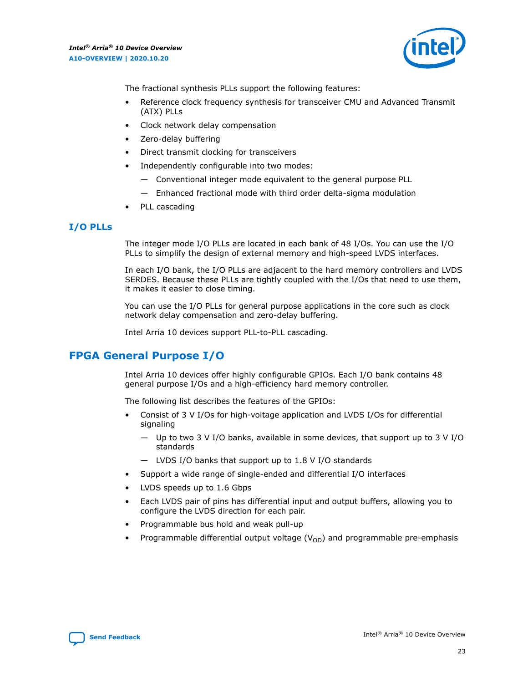

<span id="page-22-0"></span>The fractional synthesis PLLs support the following features:

- Reference clock frequency synthesis for transceiver CMU and Advanced Transmit (ATX) PLLs
- Clock network delay compensation
- Zero-delay buffering
- Direct transmit clocking for transceivers
- Independently configurable into two modes:
	- Conventional integer mode equivalent to the general purpose PLL
	- Enhanced fractional mode with third order delta-sigma modulation
- PLL cascading

## **I/O PLLs**

The integer mode I/O PLLs are located in each bank of 48 I/Os. You can use the I/O PLLs to simplify the design of external memory and high-speed LVDS interfaces.

In each I/O bank, the I/O PLLs are adjacent to the hard memory controllers and LVDS SERDES. Because these PLLs are tightly coupled with the I/Os that need to use them, it makes it easier to close timing.

You can use the I/O PLLs for general purpose applications in the core such as clock network delay compensation and zero-delay buffering.

Intel Arria 10 devices support PLL-to-PLL cascading.

## **FPGA General Purpose I/O**

Intel Arria 10 devices offer highly configurable GPIOs. Each I/O bank contains 48 general purpose I/Os and a high-efficiency hard memory controller.

The following list describes the features of the GPIOs:

- Consist of 3 V I/Os for high-voltage application and LVDS I/Os for differential signaling
	- Up to two 3 V I/O banks, available in some devices, that support up to 3 V I/O standards
	- LVDS I/O banks that support up to 1.8 V I/O standards
- Support a wide range of single-ended and differential I/O interfaces
- LVDS speeds up to 1.6 Gbps
- Each LVDS pair of pins has differential input and output buffers, allowing you to configure the LVDS direction for each pair.
- Programmable bus hold and weak pull-up
- Programmable differential output voltage  $(V_{OD})$  and programmable pre-emphasis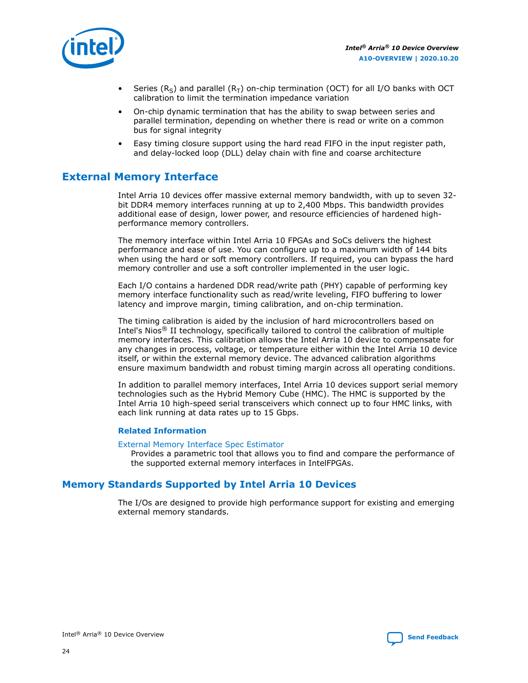<span id="page-23-0"></span>

- Series (R<sub>S</sub>) and parallel (R<sub>T</sub>) on-chip termination (OCT) for all I/O banks with OCT calibration to limit the termination impedance variation
- On-chip dynamic termination that has the ability to swap between series and parallel termination, depending on whether there is read or write on a common bus for signal integrity
- Easy timing closure support using the hard read FIFO in the input register path, and delay-locked loop (DLL) delay chain with fine and coarse architecture

## **External Memory Interface**

Intel Arria 10 devices offer massive external memory bandwidth, with up to seven 32 bit DDR4 memory interfaces running at up to 2,400 Mbps. This bandwidth provides additional ease of design, lower power, and resource efficiencies of hardened highperformance memory controllers.

The memory interface within Intel Arria 10 FPGAs and SoCs delivers the highest performance and ease of use. You can configure up to a maximum width of 144 bits when using the hard or soft memory controllers. If required, you can bypass the hard memory controller and use a soft controller implemented in the user logic.

Each I/O contains a hardened DDR read/write path (PHY) capable of performing key memory interface functionality such as read/write leveling, FIFO buffering to lower latency and improve margin, timing calibration, and on-chip termination.

The timing calibration is aided by the inclusion of hard microcontrollers based on Intel's Nios® II technology, specifically tailored to control the calibration of multiple memory interfaces. This calibration allows the Intel Arria 10 device to compensate for any changes in process, voltage, or temperature either within the Intel Arria 10 device itself, or within the external memory device. The advanced calibration algorithms ensure maximum bandwidth and robust timing margin across all operating conditions.

In addition to parallel memory interfaces, Intel Arria 10 devices support serial memory technologies such as the Hybrid Memory Cube (HMC). The HMC is supported by the Intel Arria 10 high-speed serial transceivers which connect up to four HMC links, with each link running at data rates up to 15 Gbps.

## **Related Information**

#### [External Memory Interface Spec Estimator](http://www.altera.com/technology/memory/estimator/mem-emif-index.html)

Provides a parametric tool that allows you to find and compare the performance of the supported external memory interfaces in IntelFPGAs.

## **Memory Standards Supported by Intel Arria 10 Devices**

The I/Os are designed to provide high performance support for existing and emerging external memory standards.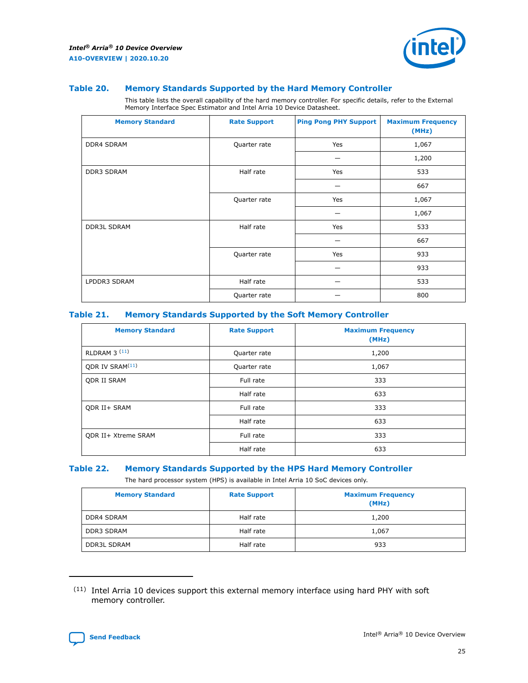

#### **Table 20. Memory Standards Supported by the Hard Memory Controller**

This table lists the overall capability of the hard memory controller. For specific details, refer to the External Memory Interface Spec Estimator and Intel Arria 10 Device Datasheet.

| <b>Memory Standard</b> | <b>Rate Support</b> | <b>Ping Pong PHY Support</b> | <b>Maximum Frequency</b><br>(MHz) |
|------------------------|---------------------|------------------------------|-----------------------------------|
| <b>DDR4 SDRAM</b>      | Quarter rate        | Yes                          | 1,067                             |
|                        |                     |                              | 1,200                             |
| DDR3 SDRAM             | Half rate           | Yes                          | 533                               |
|                        |                     |                              | 667                               |
|                        | Quarter rate        | Yes                          | 1,067                             |
|                        |                     |                              | 1,067                             |
| <b>DDR3L SDRAM</b>     | Half rate           | Yes                          | 533                               |
|                        |                     |                              | 667                               |
|                        | Quarter rate        | Yes                          | 933                               |
|                        |                     |                              | 933                               |
| LPDDR3 SDRAM           | Half rate           |                              | 533                               |
|                        | Quarter rate        |                              | 800                               |

## **Table 21. Memory Standards Supported by the Soft Memory Controller**

| <b>Memory Standard</b>      | <b>Rate Support</b> | <b>Maximum Frequency</b><br>(MHz) |
|-----------------------------|---------------------|-----------------------------------|
| <b>RLDRAM 3 (11)</b>        | Quarter rate        | 1,200                             |
| ODR IV SRAM <sup>(11)</sup> | Quarter rate        | 1,067                             |
| <b>QDR II SRAM</b>          | Full rate           | 333                               |
|                             | Half rate           | 633                               |
| <b>ODR II+ SRAM</b>         | Full rate           | 333                               |
|                             | Half rate           | 633                               |
| <b>ODR II+ Xtreme SRAM</b>  | Full rate           | 333                               |
|                             | Half rate           | 633                               |

## **Table 22. Memory Standards Supported by the HPS Hard Memory Controller**

The hard processor system (HPS) is available in Intel Arria 10 SoC devices only.

| <b>Memory Standard</b> | <b>Rate Support</b> | <b>Maximum Frequency</b><br>(MHz) |
|------------------------|---------------------|-----------------------------------|
| <b>DDR4 SDRAM</b>      | Half rate           | 1,200                             |
| DDR3 SDRAM             | Half rate           | 1,067                             |
| <b>DDR3L SDRAM</b>     | Half rate           | 933                               |

<sup>(11)</sup> Intel Arria 10 devices support this external memory interface using hard PHY with soft memory controller.

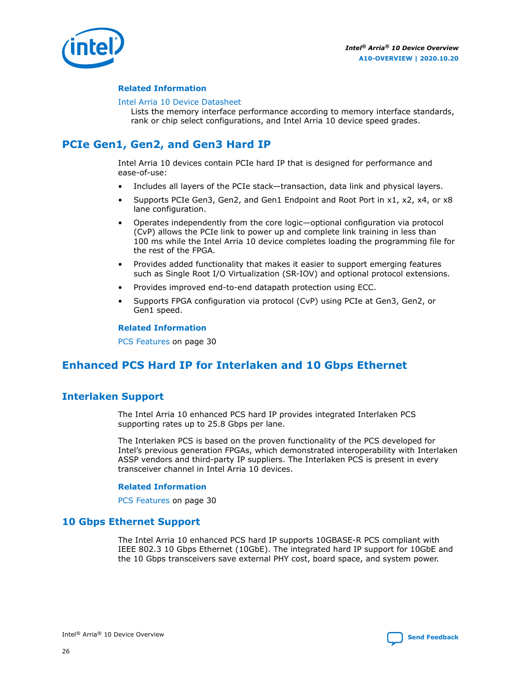<span id="page-25-0"></span>

#### **Related Information**

#### [Intel Arria 10 Device Datasheet](https://www.intel.com/content/www/us/en/programmable/documentation/mcn1413182292568.html#mcn1413182153340)

Lists the memory interface performance according to memory interface standards, rank or chip select configurations, and Intel Arria 10 device speed grades.

## **PCIe Gen1, Gen2, and Gen3 Hard IP**

Intel Arria 10 devices contain PCIe hard IP that is designed for performance and ease-of-use:

- Includes all layers of the PCIe stack—transaction, data link and physical layers.
- Supports PCIe Gen3, Gen2, and Gen1 Endpoint and Root Port in x1, x2, x4, or x8 lane configuration.
- Operates independently from the core logic—optional configuration via protocol (CvP) allows the PCIe link to power up and complete link training in less than 100 ms while the Intel Arria 10 device completes loading the programming file for the rest of the FPGA.
- Provides added functionality that makes it easier to support emerging features such as Single Root I/O Virtualization (SR-IOV) and optional protocol extensions.
- Provides improved end-to-end datapath protection using ECC.
- Supports FPGA configuration via protocol (CvP) using PCIe at Gen3, Gen2, or Gen1 speed.

#### **Related Information**

[PCS Features](#page-29-0) on page 30

## **Enhanced PCS Hard IP for Interlaken and 10 Gbps Ethernet**

## **Interlaken Support**

The Intel Arria 10 enhanced PCS hard IP provides integrated Interlaken PCS supporting rates up to 25.8 Gbps per lane.

The Interlaken PCS is based on the proven functionality of the PCS developed for Intel's previous generation FPGAs, which demonstrated interoperability with Interlaken ASSP vendors and third-party IP suppliers. The Interlaken PCS is present in every transceiver channel in Intel Arria 10 devices.

#### **Related Information**

[PCS Features](#page-29-0) on page 30

## **10 Gbps Ethernet Support**

The Intel Arria 10 enhanced PCS hard IP supports 10GBASE-R PCS compliant with IEEE 802.3 10 Gbps Ethernet (10GbE). The integrated hard IP support for 10GbE and the 10 Gbps transceivers save external PHY cost, board space, and system power.

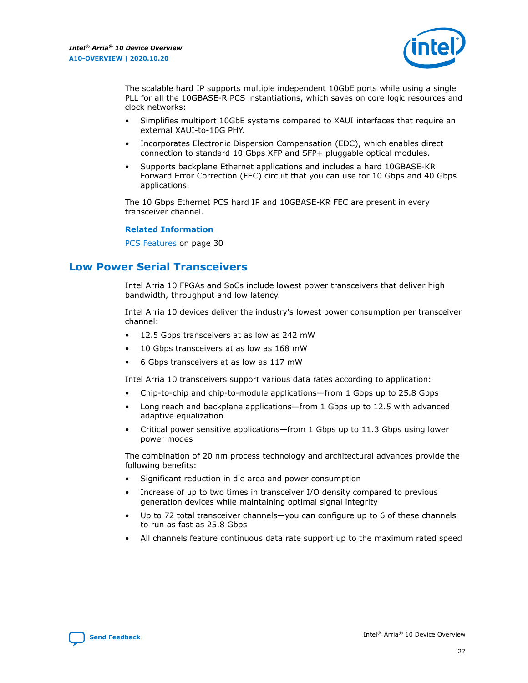

<span id="page-26-0"></span>The scalable hard IP supports multiple independent 10GbE ports while using a single PLL for all the 10GBASE-R PCS instantiations, which saves on core logic resources and clock networks:

- Simplifies multiport 10GbE systems compared to XAUI interfaces that require an external XAUI-to-10G PHY.
- Incorporates Electronic Dispersion Compensation (EDC), which enables direct connection to standard 10 Gbps XFP and SFP+ pluggable optical modules.
- Supports backplane Ethernet applications and includes a hard 10GBASE-KR Forward Error Correction (FEC) circuit that you can use for 10 Gbps and 40 Gbps applications.

The 10 Gbps Ethernet PCS hard IP and 10GBASE-KR FEC are present in every transceiver channel.

#### **Related Information**

[PCS Features](#page-29-0) on page 30

## **Low Power Serial Transceivers**

Intel Arria 10 FPGAs and SoCs include lowest power transceivers that deliver high bandwidth, throughput and low latency.

Intel Arria 10 devices deliver the industry's lowest power consumption per transceiver channel:

- 12.5 Gbps transceivers at as low as 242 mW
- 10 Gbps transceivers at as low as 168 mW
- 6 Gbps transceivers at as low as 117 mW

Intel Arria 10 transceivers support various data rates according to application:

- Chip-to-chip and chip-to-module applications—from 1 Gbps up to 25.8 Gbps
- Long reach and backplane applications—from 1 Gbps up to 12.5 with advanced adaptive equalization
- Critical power sensitive applications—from 1 Gbps up to 11.3 Gbps using lower power modes

The combination of 20 nm process technology and architectural advances provide the following benefits:

- Significant reduction in die area and power consumption
- Increase of up to two times in transceiver I/O density compared to previous generation devices while maintaining optimal signal integrity
- Up to 72 total transceiver channels—you can configure up to 6 of these channels to run as fast as 25.8 Gbps
- All channels feature continuous data rate support up to the maximum rated speed

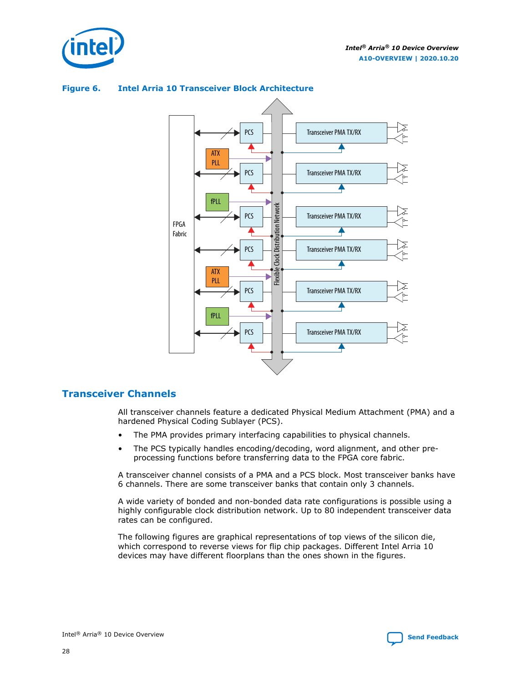<span id="page-27-0"></span>



## **Figure 6. Intel Arria 10 Transceiver Block Architecture**

## **Transceiver Channels**

All transceiver channels feature a dedicated Physical Medium Attachment (PMA) and a hardened Physical Coding Sublayer (PCS).

- The PMA provides primary interfacing capabilities to physical channels.
- The PCS typically handles encoding/decoding, word alignment, and other preprocessing functions before transferring data to the FPGA core fabric.

A transceiver channel consists of a PMA and a PCS block. Most transceiver banks have 6 channels. There are some transceiver banks that contain only 3 channels.

A wide variety of bonded and non-bonded data rate configurations is possible using a highly configurable clock distribution network. Up to 80 independent transceiver data rates can be configured.

The following figures are graphical representations of top views of the silicon die, which correspond to reverse views for flip chip packages. Different Intel Arria 10 devices may have different floorplans than the ones shown in the figures.

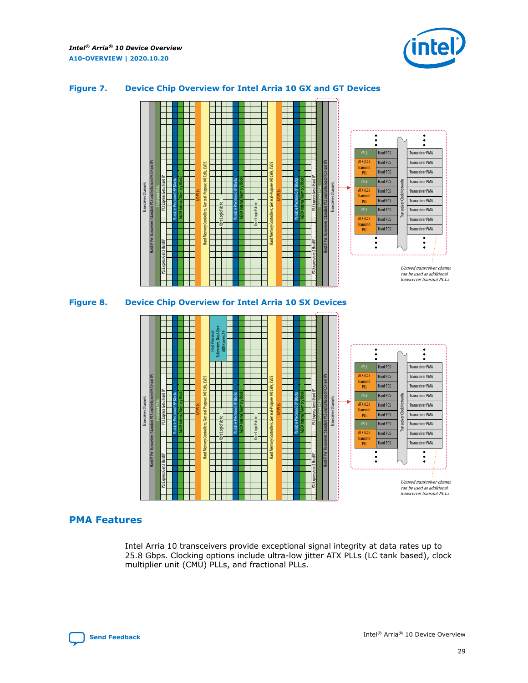<span id="page-28-0"></span>*Intel® Arria® 10 Device Overview* **A10-OVERVIEW | 2020.10.20**



## **Figure 7. Device Chip Overview for Intel Arria 10 GX and GT Devices**



## **PMA Features**

Intel Arria 10 transceivers provide exceptional signal integrity at data rates up to 25.8 Gbps. Clocking options include ultra-low jitter ATX PLLs (LC tank based), clock multiplier unit (CMU) PLLs, and fractional PLLs.

can be used as additional transceiver transmit PLLs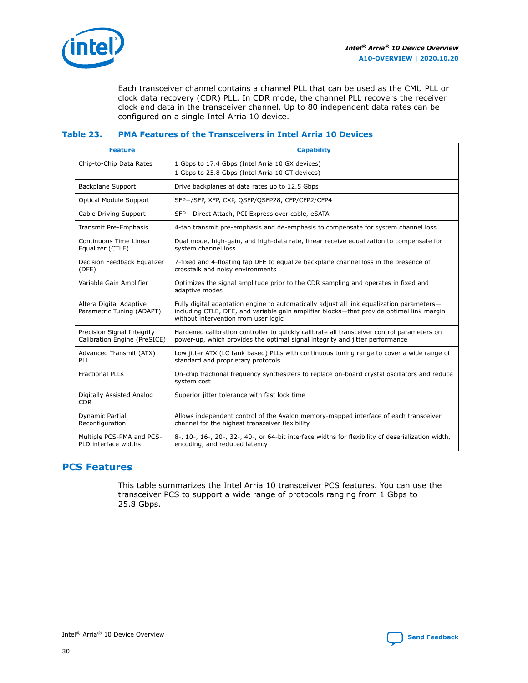<span id="page-29-0"></span>

Each transceiver channel contains a channel PLL that can be used as the CMU PLL or clock data recovery (CDR) PLL. In CDR mode, the channel PLL recovers the receiver clock and data in the transceiver channel. Up to 80 independent data rates can be configured on a single Intel Arria 10 device.

## **Table 23. PMA Features of the Transceivers in Intel Arria 10 Devices**

| <b>Feature</b>                                             | <b>Capability</b>                                                                                                                                                                                                             |
|------------------------------------------------------------|-------------------------------------------------------------------------------------------------------------------------------------------------------------------------------------------------------------------------------|
| Chip-to-Chip Data Rates                                    | 1 Gbps to 17.4 Gbps (Intel Arria 10 GX devices)<br>1 Gbps to 25.8 Gbps (Intel Arria 10 GT devices)                                                                                                                            |
| Backplane Support                                          | Drive backplanes at data rates up to 12.5 Gbps                                                                                                                                                                                |
| <b>Optical Module Support</b>                              | SFP+/SFP, XFP, CXP, QSFP/QSFP28, CFP/CFP2/CFP4                                                                                                                                                                                |
| Cable Driving Support                                      | SFP+ Direct Attach, PCI Express over cable, eSATA                                                                                                                                                                             |
| Transmit Pre-Emphasis                                      | 4-tap transmit pre-emphasis and de-emphasis to compensate for system channel loss                                                                                                                                             |
| Continuous Time Linear<br>Equalizer (CTLE)                 | Dual mode, high-gain, and high-data rate, linear receive equalization to compensate for<br>system channel loss                                                                                                                |
| Decision Feedback Equalizer<br>(DFE)                       | 7-fixed and 4-floating tap DFE to equalize backplane channel loss in the presence of<br>crosstalk and noisy environments                                                                                                      |
| Variable Gain Amplifier                                    | Optimizes the signal amplitude prior to the CDR sampling and operates in fixed and<br>adaptive modes                                                                                                                          |
| Altera Digital Adaptive<br>Parametric Tuning (ADAPT)       | Fully digital adaptation engine to automatically adjust all link equalization parameters-<br>including CTLE, DFE, and variable gain amplifier blocks—that provide optimal link margin<br>without intervention from user logic |
| Precision Signal Integrity<br>Calibration Engine (PreSICE) | Hardened calibration controller to quickly calibrate all transceiver control parameters on<br>power-up, which provides the optimal signal integrity and jitter performance                                                    |
| Advanced Transmit (ATX)<br>PLL                             | Low jitter ATX (LC tank based) PLLs with continuous tuning range to cover a wide range of<br>standard and proprietary protocols                                                                                               |
| <b>Fractional PLLs</b>                                     | On-chip fractional frequency synthesizers to replace on-board crystal oscillators and reduce<br>system cost                                                                                                                   |
| Digitally Assisted Analog<br><b>CDR</b>                    | Superior jitter tolerance with fast lock time                                                                                                                                                                                 |
| Dynamic Partial<br>Reconfiguration                         | Allows independent control of the Avalon memory-mapped interface of each transceiver<br>channel for the highest transceiver flexibility                                                                                       |
| Multiple PCS-PMA and PCS-<br>PLD interface widths          | 8-, 10-, 16-, 20-, 32-, 40-, or 64-bit interface widths for flexibility of deserialization width,<br>encoding, and reduced latency                                                                                            |

## **PCS Features**

This table summarizes the Intel Arria 10 transceiver PCS features. You can use the transceiver PCS to support a wide range of protocols ranging from 1 Gbps to 25.8 Gbps.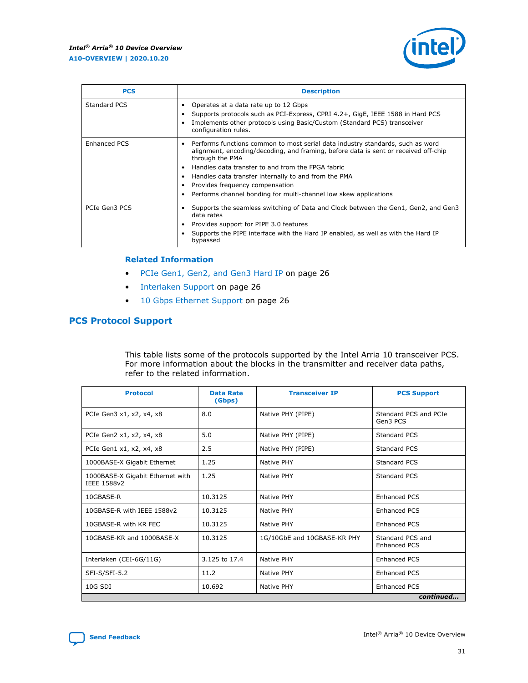

| <b>PCS</b>          | <b>Description</b>                                                                                                                                                                                                                                                                                                                                                                                                          |
|---------------------|-----------------------------------------------------------------------------------------------------------------------------------------------------------------------------------------------------------------------------------------------------------------------------------------------------------------------------------------------------------------------------------------------------------------------------|
| <b>Standard PCS</b> | Operates at a data rate up to 12 Gbps<br>Supports protocols such as PCI-Express, CPRI 4.2+, GigE, IEEE 1588 in Hard PCS<br>Implements other protocols using Basic/Custom (Standard PCS) transceiver<br>configuration rules.                                                                                                                                                                                                 |
| <b>Enhanced PCS</b> | Performs functions common to most serial data industry standards, such as word<br>$\bullet$<br>alignment, encoding/decoding, and framing, before data is sent or received off-chip<br>through the PMA<br>Handles data transfer to and from the FPGA fabric<br>Handles data transfer internally to and from the PMA<br>• Provides frequency compensation<br>Performs channel bonding for multi-channel low skew applications |
| PCIe Gen3 PCS       | Supports the seamless switching of Data and Clock between the Gen1, Gen2, and Gen3<br>data rates<br>Provides support for PIPE 3.0 features<br>Supports the PIPE interface with the Hard IP enabled, as well as with the Hard IP<br>bypassed                                                                                                                                                                                 |

#### **Related Information**

- [PCIe Gen1, Gen2, and Gen3 Hard IP](#page-25-0) on page 26
- [Interlaken Support](#page-25-0) on page 26
- [10 Gbps Ethernet Support](#page-25-0) on page 26

## **PCS Protocol Support**

This table lists some of the protocols supported by the Intel Arria 10 transceiver PCS. For more information about the blocks in the transmitter and receiver data paths, refer to the related information.

| <b>Protocol</b>                                 | <b>Data Rate</b><br>(Gbps) | <b>Transceiver IP</b>       | <b>PCS Support</b>                      |
|-------------------------------------------------|----------------------------|-----------------------------|-----------------------------------------|
| PCIe Gen3 x1, x2, x4, x8                        | 8.0                        | Native PHY (PIPE)           | Standard PCS and PCIe<br>Gen3 PCS       |
| PCIe Gen2 x1, x2, x4, x8                        | 5.0                        | Native PHY (PIPE)           | Standard PCS                            |
| PCIe Gen1 x1, x2, x4, x8                        | 2.5                        | Native PHY (PIPE)           | Standard PCS                            |
| 1000BASE-X Gigabit Ethernet                     | 1.25                       | Native PHY                  | <b>Standard PCS</b>                     |
| 1000BASE-X Gigabit Ethernet with<br>IEEE 1588v2 | 1.25                       | Native PHY                  | Standard PCS                            |
| 10GBASE-R                                       | 10.3125<br>Native PHY      |                             | <b>Enhanced PCS</b>                     |
| 10GBASE-R with IEEE 1588v2                      | 10.3125                    | Native PHY                  | <b>Enhanced PCS</b>                     |
| 10GBASE-R with KR FEC                           | 10.3125                    | Native PHY                  | <b>Enhanced PCS</b>                     |
| 10GBASE-KR and 1000BASE-X                       | 10.3125                    | 1G/10GbE and 10GBASE-KR PHY | Standard PCS and<br><b>Enhanced PCS</b> |
| Interlaken (CEI-6G/11G)                         | 3.125 to 17.4              | Native PHY                  | <b>Enhanced PCS</b>                     |
| SFI-S/SFI-5.2                                   | 11.2                       | <b>Native PHY</b>           | <b>Enhanced PCS</b>                     |
| 10G SDI                                         | 10.692                     | Native PHY                  | <b>Enhanced PCS</b>                     |
|                                                 |                            |                             | continued                               |

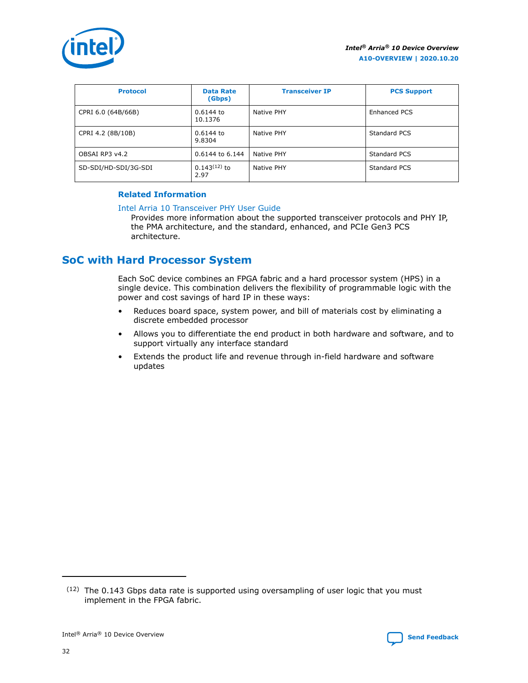<span id="page-31-0"></span>

| <b>Protocol</b>      | <b>Data Rate</b><br>(Gbps) | <b>Transceiver IP</b> | <b>PCS Support</b>  |
|----------------------|----------------------------|-----------------------|---------------------|
| CPRI 6.0 (64B/66B)   | $0.6144$ to<br>10.1376     | Native PHY            | Enhanced PCS        |
| CPRI 4.2 (8B/10B)    | $0.6144$ to<br>9.8304      | Native PHY            | <b>Standard PCS</b> |
| OBSAI RP3 y4.2       | 0.6144 to 6.144            | Native PHY            | Standard PCS        |
| SD-SDI/HD-SDI/3G-SDI | $0.143(12)$ to<br>2.97     | Native PHY            | Standard PCS        |

## **Related Information**

#### [Intel Arria 10 Transceiver PHY User Guide](https://www.intel.com/content/www/us/en/programmable/documentation/nik1398707230472.html#nik1398707091164)

Provides more information about the supported transceiver protocols and PHY IP, the PMA architecture, and the standard, enhanced, and PCIe Gen3 PCS architecture.

## **SoC with Hard Processor System**

Each SoC device combines an FPGA fabric and a hard processor system (HPS) in a single device. This combination delivers the flexibility of programmable logic with the power and cost savings of hard IP in these ways:

- Reduces board space, system power, and bill of materials cost by eliminating a discrete embedded processor
- Allows you to differentiate the end product in both hardware and software, and to support virtually any interface standard
- Extends the product life and revenue through in-field hardware and software updates

<sup>(12)</sup> The 0.143 Gbps data rate is supported using oversampling of user logic that you must implement in the FPGA fabric.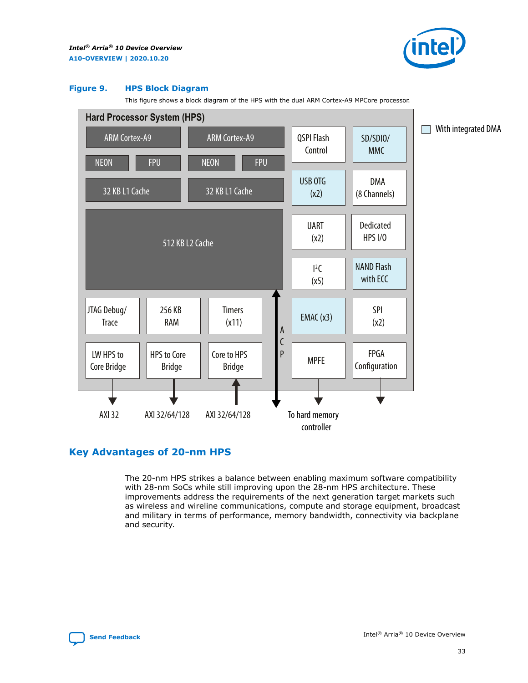

#### <span id="page-32-0"></span>**Figure 9. HPS Block Diagram**

This figure shows a block diagram of the HPS with the dual ARM Cortex-A9 MPCore processor.



## **Key Advantages of 20-nm HPS**

The 20-nm HPS strikes a balance between enabling maximum software compatibility with 28-nm SoCs while still improving upon the 28-nm HPS architecture. These improvements address the requirements of the next generation target markets such as wireless and wireline communications, compute and storage equipment, broadcast and military in terms of performance, memory bandwidth, connectivity via backplane and security.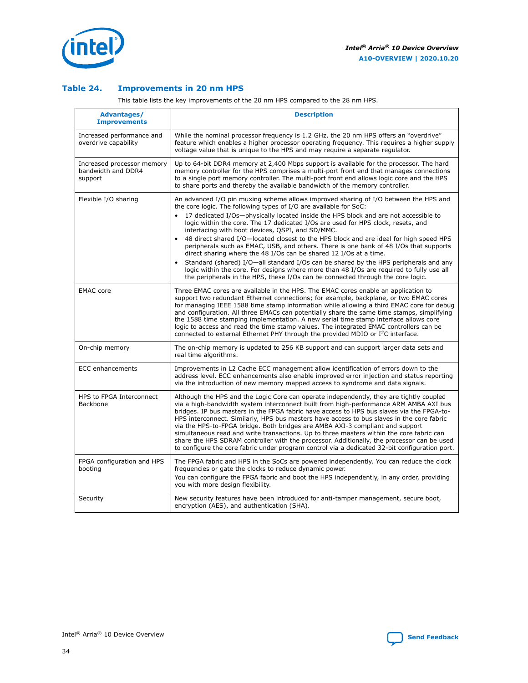

## **Table 24. Improvements in 20 nm HPS**

This table lists the key improvements of the 20 nm HPS compared to the 28 nm HPS.

| Advantages/<br><b>Improvements</b>                          | <b>Description</b>                                                                                                                                                                                                                                                                                                                                                                                                                                                                                                                                                                                                                                                                                                                                                                                                                                                                                                                                |
|-------------------------------------------------------------|---------------------------------------------------------------------------------------------------------------------------------------------------------------------------------------------------------------------------------------------------------------------------------------------------------------------------------------------------------------------------------------------------------------------------------------------------------------------------------------------------------------------------------------------------------------------------------------------------------------------------------------------------------------------------------------------------------------------------------------------------------------------------------------------------------------------------------------------------------------------------------------------------------------------------------------------------|
| Increased performance and<br>overdrive capability           | While the nominal processor frequency is 1.2 GHz, the 20 nm HPS offers an "overdrive"<br>feature which enables a higher processor operating frequency. This requires a higher supply<br>voltage value that is unique to the HPS and may require a separate regulator.                                                                                                                                                                                                                                                                                                                                                                                                                                                                                                                                                                                                                                                                             |
| Increased processor memory<br>bandwidth and DDR4<br>support | Up to 64-bit DDR4 memory at 2,400 Mbps support is available for the processor. The hard<br>memory controller for the HPS comprises a multi-port front end that manages connections<br>to a single port memory controller. The multi-port front end allows logic core and the HPS<br>to share ports and thereby the available bandwidth of the memory controller.                                                                                                                                                                                                                                                                                                                                                                                                                                                                                                                                                                                  |
| Flexible I/O sharing                                        | An advanced I/O pin muxing scheme allows improved sharing of I/O between the HPS and<br>the core logic. The following types of I/O are available for SoC:<br>17 dedicated I/Os-physically located inside the HPS block and are not accessible to<br>$\bullet$<br>logic within the core. The 17 dedicated I/Os are used for HPS clock, resets, and<br>interfacing with boot devices, QSPI, and SD/MMC.<br>48 direct shared I/O-located closest to the HPS block and are ideal for high speed HPS<br>peripherals such as EMAC, USB, and others. There is one bank of 48 I/Os that supports<br>direct sharing where the 48 I/Os can be shared 12 I/Os at a time.<br>Standard (shared) I/O-all standard I/Os can be shared by the HPS peripherals and any<br>$\bullet$<br>logic within the core. For designs where more than 48 I/Os are required to fully use all<br>the peripherals in the HPS, these I/Os can be connected through the core logic. |
| <b>EMAC</b> core                                            | Three EMAC cores are available in the HPS. The EMAC cores enable an application to<br>support two redundant Ethernet connections; for example, backplane, or two EMAC cores<br>for managing IEEE 1588 time stamp information while allowing a third EMAC core for debug<br>and configuration. All three EMACs can potentially share the same time stamps, simplifying<br>the 1588 time stamping implementation. A new serial time stamp interface allows core<br>logic to access and read the time stamp values. The integrated EMAC controllers can be<br>connected to external Ethernet PHY through the provided MDIO or I <sup>2</sup> C interface.                                                                                                                                                                                                                                                                                            |
| On-chip memory                                              | The on-chip memory is updated to 256 KB support and can support larger data sets and<br>real time algorithms.                                                                                                                                                                                                                                                                                                                                                                                                                                                                                                                                                                                                                                                                                                                                                                                                                                     |
| ECC enhancements                                            | Improvements in L2 Cache ECC management allow identification of errors down to the<br>address level. ECC enhancements also enable improved error injection and status reporting<br>via the introduction of new memory mapped access to syndrome and data signals.                                                                                                                                                                                                                                                                                                                                                                                                                                                                                                                                                                                                                                                                                 |
| HPS to FPGA Interconnect<br><b>Backbone</b>                 | Although the HPS and the Logic Core can operate independently, they are tightly coupled<br>via a high-bandwidth system interconnect built from high-performance ARM AMBA AXI bus<br>bridges. IP bus masters in the FPGA fabric have access to HPS bus slaves via the FPGA-to-<br>HPS interconnect. Similarly, HPS bus masters have access to bus slaves in the core fabric<br>via the HPS-to-FPGA bridge. Both bridges are AMBA AXI-3 compliant and support<br>simultaneous read and write transactions. Up to three masters within the core fabric can<br>share the HPS SDRAM controller with the processor. Additionally, the processor can be used<br>to configure the core fabric under program control via a dedicated 32-bit configuration port.                                                                                                                                                                                            |
| FPGA configuration and HPS<br>booting                       | The FPGA fabric and HPS in the SoCs are powered independently. You can reduce the clock<br>frequencies or gate the clocks to reduce dynamic power.<br>You can configure the FPGA fabric and boot the HPS independently, in any order, providing<br>you with more design flexibility.                                                                                                                                                                                                                                                                                                                                                                                                                                                                                                                                                                                                                                                              |
| Security                                                    | New security features have been introduced for anti-tamper management, secure boot,<br>encryption (AES), and authentication (SHA).                                                                                                                                                                                                                                                                                                                                                                                                                                                                                                                                                                                                                                                                                                                                                                                                                |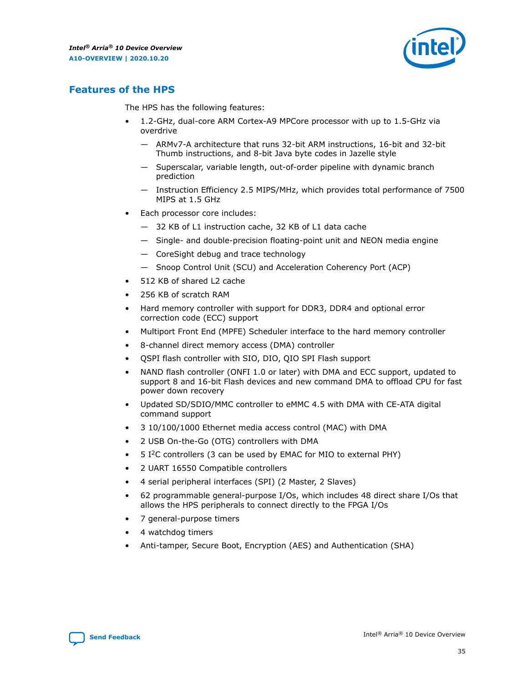

## <span id="page-34-0"></span>**Features of the HPS**

The HPS has the following features:

- 1.2-GHz, dual-core ARM Cortex-A9 MPCore processor with up to 1.5-GHz via overdrive
	- ARMv7-A architecture that runs 32-bit ARM instructions, 16-bit and 32-bit Thumb instructions, and 8-bit Java byte codes in Jazelle style
	- Superscalar, variable length, out-of-order pipeline with dynamic branch prediction
	- Instruction Efficiency 2.5 MIPS/MHz, which provides total performance of 7500 MIPS at 1.5 GHz
- Each processor core includes:
	- 32 KB of L1 instruction cache, 32 KB of L1 data cache
	- Single- and double-precision floating-point unit and NEON media engine
	- CoreSight debug and trace technology
	- Snoop Control Unit (SCU) and Acceleration Coherency Port (ACP)
- 512 KB of shared L2 cache
- 256 KB of scratch RAM
- Hard memory controller with support for DDR3, DDR4 and optional error correction code (ECC) support
- Multiport Front End (MPFE) Scheduler interface to the hard memory controller
- 8-channel direct memory access (DMA) controller
- QSPI flash controller with SIO, DIO, QIO SPI Flash support
- NAND flash controller (ONFI 1.0 or later) with DMA and ECC support, updated to support 8 and 16-bit Flash devices and new command DMA to offload CPU for fast power down recovery
- Updated SD/SDIO/MMC controller to eMMC 4.5 with DMA with CE-ATA digital command support
- 3 10/100/1000 Ethernet media access control (MAC) with DMA
- 2 USB On-the-Go (OTG) controllers with DMA
- $\bullet$  5 I<sup>2</sup>C controllers (3 can be used by EMAC for MIO to external PHY)
- 2 UART 16550 Compatible controllers
- 4 serial peripheral interfaces (SPI) (2 Master, 2 Slaves)
- 62 programmable general-purpose I/Os, which includes 48 direct share I/Os that allows the HPS peripherals to connect directly to the FPGA I/Os
- 7 general-purpose timers
- 4 watchdog timers
- Anti-tamper, Secure Boot, Encryption (AES) and Authentication (SHA)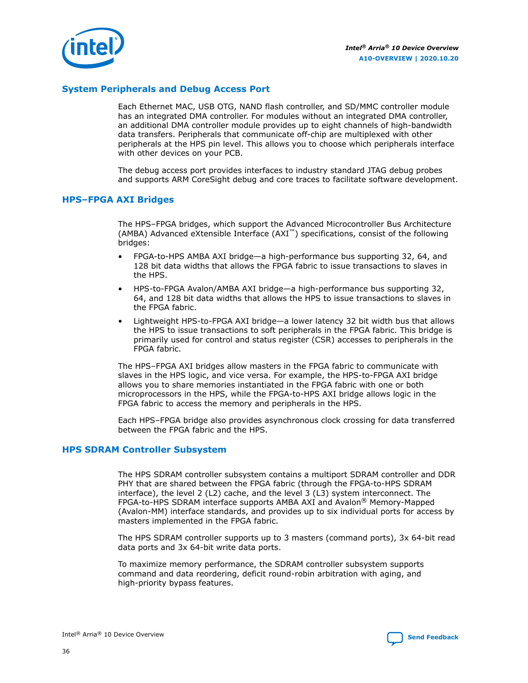

## **System Peripherals and Debug Access Port**

Each Ethernet MAC, USB OTG, NAND flash controller, and SD/MMC controller module has an integrated DMA controller. For modules without an integrated DMA controller, an additional DMA controller module provides up to eight channels of high-bandwidth data transfers. Peripherals that communicate off-chip are multiplexed with other peripherals at the HPS pin level. This allows you to choose which peripherals interface with other devices on your PCB.

The debug access port provides interfaces to industry standard JTAG debug probes and supports ARM CoreSight debug and core traces to facilitate software development.

## **HPS–FPGA AXI Bridges**

The HPS–FPGA bridges, which support the Advanced Microcontroller Bus Architecture (AMBA) Advanced eXtensible Interface (AXI™) specifications, consist of the following bridges:

- FPGA-to-HPS AMBA AXI bridge—a high-performance bus supporting 32, 64, and 128 bit data widths that allows the FPGA fabric to issue transactions to slaves in the HPS.
- HPS-to-FPGA Avalon/AMBA AXI bridge—a high-performance bus supporting 32, 64, and 128 bit data widths that allows the HPS to issue transactions to slaves in the FPGA fabric.
- Lightweight HPS-to-FPGA AXI bridge—a lower latency 32 bit width bus that allows the HPS to issue transactions to soft peripherals in the FPGA fabric. This bridge is primarily used for control and status register (CSR) accesses to peripherals in the FPGA fabric.

The HPS–FPGA AXI bridges allow masters in the FPGA fabric to communicate with slaves in the HPS logic, and vice versa. For example, the HPS-to-FPGA AXI bridge allows you to share memories instantiated in the FPGA fabric with one or both microprocessors in the HPS, while the FPGA-to-HPS AXI bridge allows logic in the FPGA fabric to access the memory and peripherals in the HPS.

Each HPS–FPGA bridge also provides asynchronous clock crossing for data transferred between the FPGA fabric and the HPS.

#### **HPS SDRAM Controller Subsystem**

The HPS SDRAM controller subsystem contains a multiport SDRAM controller and DDR PHY that are shared between the FPGA fabric (through the FPGA-to-HPS SDRAM interface), the level 2 (L2) cache, and the level 3 (L3) system interconnect. The FPGA-to-HPS SDRAM interface supports AMBA AXI and Avalon® Memory-Mapped (Avalon-MM) interface standards, and provides up to six individual ports for access by masters implemented in the FPGA fabric.

The HPS SDRAM controller supports up to 3 masters (command ports), 3x 64-bit read data ports and 3x 64-bit write data ports.

To maximize memory performance, the SDRAM controller subsystem supports command and data reordering, deficit round-robin arbitration with aging, and high-priority bypass features.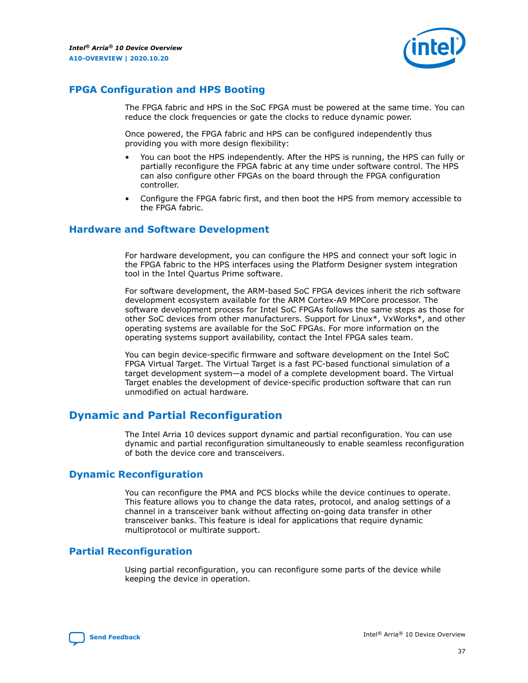

## <span id="page-36-0"></span>**FPGA Configuration and HPS Booting**

The FPGA fabric and HPS in the SoC FPGA must be powered at the same time. You can reduce the clock frequencies or gate the clocks to reduce dynamic power.

Once powered, the FPGA fabric and HPS can be configured independently thus providing you with more design flexibility:

- You can boot the HPS independently. After the HPS is running, the HPS can fully or partially reconfigure the FPGA fabric at any time under software control. The HPS can also configure other FPGAs on the board through the FPGA configuration controller.
- Configure the FPGA fabric first, and then boot the HPS from memory accessible to the FPGA fabric.

## **Hardware and Software Development**

For hardware development, you can configure the HPS and connect your soft logic in the FPGA fabric to the HPS interfaces using the Platform Designer system integration tool in the Intel Quartus Prime software.

For software development, the ARM-based SoC FPGA devices inherit the rich software development ecosystem available for the ARM Cortex-A9 MPCore processor. The software development process for Intel SoC FPGAs follows the same steps as those for other SoC devices from other manufacturers. Support for Linux\*, VxWorks\*, and other operating systems are available for the SoC FPGAs. For more information on the operating systems support availability, contact the Intel FPGA sales team.

You can begin device-specific firmware and software development on the Intel SoC FPGA Virtual Target. The Virtual Target is a fast PC-based functional simulation of a target development system—a model of a complete development board. The Virtual Target enables the development of device-specific production software that can run unmodified on actual hardware.

## **Dynamic and Partial Reconfiguration**

The Intel Arria 10 devices support dynamic and partial reconfiguration. You can use dynamic and partial reconfiguration simultaneously to enable seamless reconfiguration of both the device core and transceivers.

## **Dynamic Reconfiguration**

You can reconfigure the PMA and PCS blocks while the device continues to operate. This feature allows you to change the data rates, protocol, and analog settings of a channel in a transceiver bank without affecting on-going data transfer in other transceiver banks. This feature is ideal for applications that require dynamic multiprotocol or multirate support.

## **Partial Reconfiguration**

Using partial reconfiguration, you can reconfigure some parts of the device while keeping the device in operation.

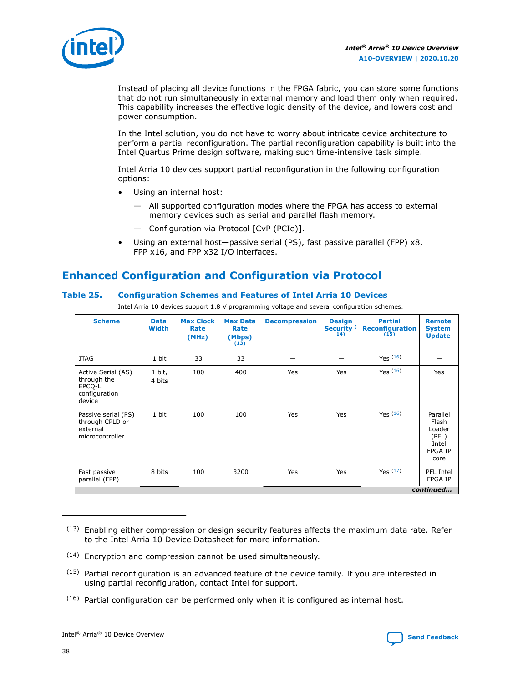<span id="page-37-0"></span>

Instead of placing all device functions in the FPGA fabric, you can store some functions that do not run simultaneously in external memory and load them only when required. This capability increases the effective logic density of the device, and lowers cost and power consumption.

In the Intel solution, you do not have to worry about intricate device architecture to perform a partial reconfiguration. The partial reconfiguration capability is built into the Intel Quartus Prime design software, making such time-intensive task simple.

Intel Arria 10 devices support partial reconfiguration in the following configuration options:

- Using an internal host:
	- All supported configuration modes where the FPGA has access to external memory devices such as serial and parallel flash memory.
	- Configuration via Protocol [CvP (PCIe)].
- Using an external host—passive serial (PS), fast passive parallel (FPP) x8, FPP x16, and FPP x32 I/O interfaces.

## **Enhanced Configuration and Configuration via Protocol**

## **Table 25. Configuration Schemes and Features of Intel Arria 10 Devices**

Intel Arria 10 devices support 1.8 V programming voltage and several configuration schemes.

| <b>Scheme</b>                                                          | <b>Data</b><br><b>Width</b> | <b>Max Clock</b><br>Rate<br>(MHz) | <b>Max Data</b><br>Rate<br>(Mbps)<br>(13) | <b>Decompression</b> | <b>Design</b><br>Security <sup>(</sup><br>14) | <b>Partial</b><br><b>Reconfiguration</b><br>(15) | <b>Remote</b><br><b>System</b><br><b>Update</b>                         |
|------------------------------------------------------------------------|-----------------------------|-----------------------------------|-------------------------------------------|----------------------|-----------------------------------------------|--------------------------------------------------|-------------------------------------------------------------------------|
| <b>JTAG</b>                                                            | 1 bit                       | 33                                | 33                                        |                      |                                               | Yes $(16)$                                       |                                                                         |
| Active Serial (AS)<br>through the<br>EPCQ-L<br>configuration<br>device | 1 bit,<br>4 bits            | 100                               | 400                                       | Yes                  | Yes                                           | Yes $(16)$                                       | Yes                                                                     |
| Passive serial (PS)<br>through CPLD or<br>external<br>microcontroller  | 1 bit                       | 100                               | 100                                       | Yes                  | Yes                                           | Yes $(16)$                                       | Parallel<br>Flash<br>Loader<br>(PFL)<br>Intel<br><b>FPGA IP</b><br>core |
| Fast passive<br>parallel (FPP)                                         | 8 bits                      | 100                               | 3200                                      | Yes                  | Yes                                           | Yes $(17)$                                       | PFL Intel<br><b>FPGA IP</b>                                             |
|                                                                        |                             |                                   |                                           |                      |                                               |                                                  | continued                                                               |

 $(13)$  Enabling either compression or design security features affects the maximum data rate. Refer to the Intel Arria 10 Device Datasheet for more information.

<sup>(14)</sup> Encryption and compression cannot be used simultaneously.

 $(15)$  Partial reconfiguration is an advanced feature of the device family. If you are interested in using partial reconfiguration, contact Intel for support.

<sup>(16)</sup> Partial configuration can be performed only when it is configured as internal host.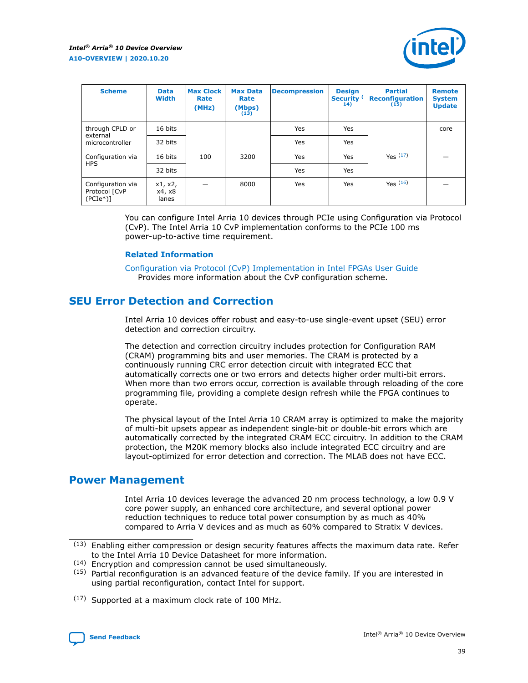

<span id="page-38-0"></span>

| <b>Scheme</b>                                    | <b>Data</b><br><b>Width</b> | <b>Max Clock</b><br>Rate<br>(MHz) | <b>Max Data</b><br>Rate<br>(Mbps)<br>(13) | <b>Decompression</b> | <b>Design</b><br>Security <sup>(</sup><br>14) | <b>Partial</b><br><b>Reconfiguration</b><br>(15) | <b>Remote</b><br><b>System</b><br><b>Update</b> |
|--------------------------------------------------|-----------------------------|-----------------------------------|-------------------------------------------|----------------------|-----------------------------------------------|--------------------------------------------------|-------------------------------------------------|
| through CPLD or                                  | 16 bits                     |                                   |                                           | <b>Yes</b>           | Yes                                           |                                                  | core                                            |
| external<br>microcontroller                      | 32 bits                     |                                   |                                           | Yes                  | Yes                                           |                                                  |                                                 |
| Configuration via                                | 16 bits                     | 100                               | 3200                                      | <b>Yes</b>           | Yes                                           | Yes(17)                                          |                                                 |
| <b>HPS</b>                                       | 32 bits                     |                                   |                                           | Yes                  | Yes                                           |                                                  |                                                 |
| Configuration via<br>Protocol [CvP<br>$(PCIe^*)$ | x1, x2,<br>x4, x8<br>lanes  |                                   | 8000                                      | Yes                  | Yes                                           | $Y_{PS}$ (16)                                    |                                                 |

You can configure Intel Arria 10 devices through PCIe using Configuration via Protocol (CvP). The Intel Arria 10 CvP implementation conforms to the PCIe 100 ms power-up-to-active time requirement.

## **Related Information**

[Configuration via Protocol \(CvP\) Implementation in Intel FPGAs User Guide](https://www.intel.com/content/www/us/en/programmable/documentation/dsu1441819344145.html#dsu1442269728522) Provides more information about the CvP configuration scheme.

## **SEU Error Detection and Correction**

Intel Arria 10 devices offer robust and easy-to-use single-event upset (SEU) error detection and correction circuitry.

The detection and correction circuitry includes protection for Configuration RAM (CRAM) programming bits and user memories. The CRAM is protected by a continuously running CRC error detection circuit with integrated ECC that automatically corrects one or two errors and detects higher order multi-bit errors. When more than two errors occur, correction is available through reloading of the core programming file, providing a complete design refresh while the FPGA continues to operate.

The physical layout of the Intel Arria 10 CRAM array is optimized to make the majority of multi-bit upsets appear as independent single-bit or double-bit errors which are automatically corrected by the integrated CRAM ECC circuitry. In addition to the CRAM protection, the M20K memory blocks also include integrated ECC circuitry and are layout-optimized for error detection and correction. The MLAB does not have ECC.

## **Power Management**

Intel Arria 10 devices leverage the advanced 20 nm process technology, a low 0.9 V core power supply, an enhanced core architecture, and several optional power reduction techniques to reduce total power consumption by as much as 40% compared to Arria V devices and as much as 60% compared to Stratix V devices.

(14) Encryption and compression cannot be used simultaneously.

<sup>(17)</sup> Supported at a maximum clock rate of 100 MHz.



 $(13)$  Enabling either compression or design security features affects the maximum data rate. Refer to the Intel Arria 10 Device Datasheet for more information.

 $(15)$  Partial reconfiguration is an advanced feature of the device family. If you are interested in using partial reconfiguration, contact Intel for support.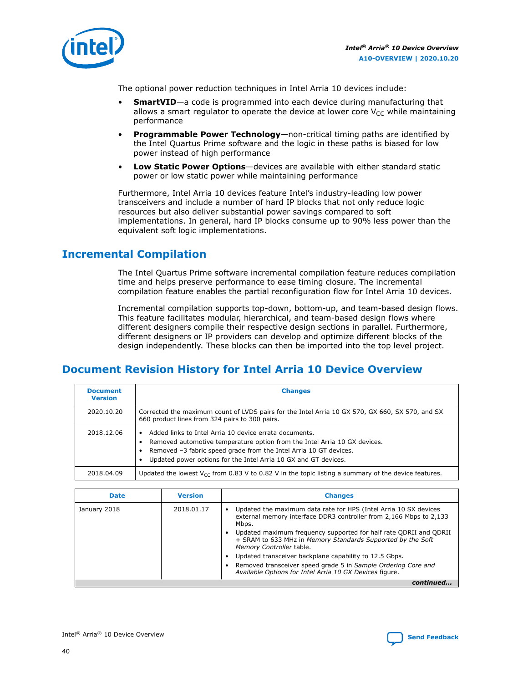<span id="page-39-0"></span>

The optional power reduction techniques in Intel Arria 10 devices include:

- **SmartVID**—a code is programmed into each device during manufacturing that allows a smart regulator to operate the device at lower core  $V_{CC}$  while maintaining performance
- **Programmable Power Technology**—non-critical timing paths are identified by the Intel Quartus Prime software and the logic in these paths is biased for low power instead of high performance
- **Low Static Power Options**—devices are available with either standard static power or low static power while maintaining performance

Furthermore, Intel Arria 10 devices feature Intel's industry-leading low power transceivers and include a number of hard IP blocks that not only reduce logic resources but also deliver substantial power savings compared to soft implementations. In general, hard IP blocks consume up to 90% less power than the equivalent soft logic implementations.

## **Incremental Compilation**

The Intel Quartus Prime software incremental compilation feature reduces compilation time and helps preserve performance to ease timing closure. The incremental compilation feature enables the partial reconfiguration flow for Intel Arria 10 devices.

Incremental compilation supports top-down, bottom-up, and team-based design flows. This feature facilitates modular, hierarchical, and team-based design flows where different designers compile their respective design sections in parallel. Furthermore, different designers or IP providers can develop and optimize different blocks of the design independently. These blocks can then be imported into the top level project.

## **Document Revision History for Intel Arria 10 Device Overview**

| <b>Document</b><br><b>Version</b> | <b>Changes</b>                                                                                                                                                                                                                                                              |
|-----------------------------------|-----------------------------------------------------------------------------------------------------------------------------------------------------------------------------------------------------------------------------------------------------------------------------|
| 2020.10.20                        | Corrected the maximum count of LVDS pairs for the Intel Arria 10 GX 570, GX 660, SX 570, and SX<br>660 product lines from 324 pairs to 300 pairs.                                                                                                                           |
| 2018.12.06                        | Added links to Intel Arria 10 device errata documents.<br>Removed automotive temperature option from the Intel Arria 10 GX devices.<br>Removed -3 fabric speed grade from the Intel Arria 10 GT devices.<br>Updated power options for the Intel Arria 10 GX and GT devices. |
| 2018.04.09                        | Updated the lowest $V_{CC}$ from 0.83 V to 0.82 V in the topic listing a summary of the device features.                                                                                                                                                                    |

| <b>Date</b>  | <b>Version</b> | <b>Changes</b>                                                                                                                                               |
|--------------|----------------|--------------------------------------------------------------------------------------------------------------------------------------------------------------|
| January 2018 | 2018.01.17     | Updated the maximum data rate for HPS (Intel Arria 10 SX devices<br>external memory interface DDR3 controller from 2,166 Mbps to 2,133<br>Mbps.              |
|              |                | Updated maximum frequency supported for half rate ODRII and ODRII<br>+ SRAM to 633 MHz in Memory Standards Supported by the Soft<br>Memory Controller table. |
|              |                | Updated transceiver backplane capability to 12.5 Gbps.                                                                                                       |
|              |                | • Removed transceiver speed grade 5 in Sample Ordering Core and<br>Available Options for Intel Arria 10 GX Devices figure.                                   |
|              |                |                                                                                                                                                              |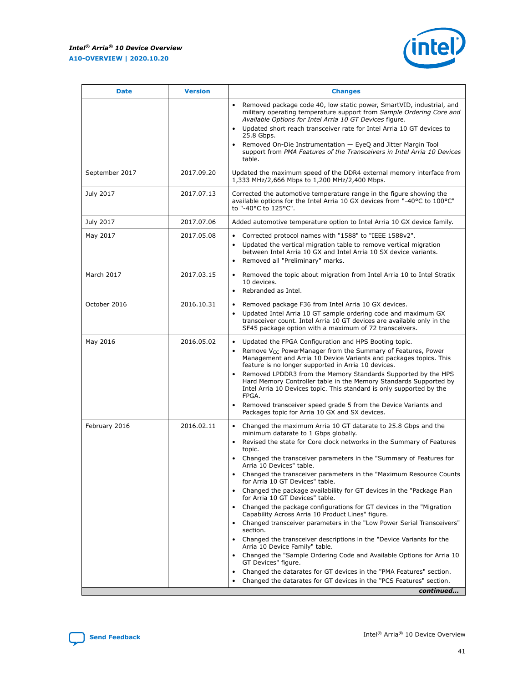#### *Intel® Arria® 10 Device Overview* **A10-OVERVIEW | 2020.10.20**

r



| <b>Date</b>    | <b>Version</b> | <b>Changes</b>                                                                                                                                                                                                                                                                                                                                                                                                                                                                                                                                                                                                                                                                                                                                                                                                                                                                                                                                                                                                                                                                                                                                                    |
|----------------|----------------|-------------------------------------------------------------------------------------------------------------------------------------------------------------------------------------------------------------------------------------------------------------------------------------------------------------------------------------------------------------------------------------------------------------------------------------------------------------------------------------------------------------------------------------------------------------------------------------------------------------------------------------------------------------------------------------------------------------------------------------------------------------------------------------------------------------------------------------------------------------------------------------------------------------------------------------------------------------------------------------------------------------------------------------------------------------------------------------------------------------------------------------------------------------------|
|                |                | Removed package code 40, low static power, SmartVID, industrial, and<br>$\bullet$<br>military operating temperature support from Sample Ordering Core and<br>Available Options for Intel Arria 10 GT Devices figure.<br>Updated short reach transceiver rate for Intel Arria 10 GT devices to<br>$\bullet$<br>25.8 Gbps.<br>Removed On-Die Instrumentation - EyeQ and Jitter Margin Tool<br>٠<br>support from PMA Features of the Transceivers in Intel Arria 10 Devices<br>table.                                                                                                                                                                                                                                                                                                                                                                                                                                                                                                                                                                                                                                                                                |
| September 2017 | 2017.09.20     | Updated the maximum speed of the DDR4 external memory interface from<br>1,333 MHz/2,666 Mbps to 1,200 MHz/2,400 Mbps.                                                                                                                                                                                                                                                                                                                                                                                                                                                                                                                                                                                                                                                                                                                                                                                                                                                                                                                                                                                                                                             |
| July 2017      | 2017.07.13     | Corrected the automotive temperature range in the figure showing the<br>available options for the Intel Arria 10 GX devices from "-40°C to 100°C"<br>to "-40°C to 125°C".                                                                                                                                                                                                                                                                                                                                                                                                                                                                                                                                                                                                                                                                                                                                                                                                                                                                                                                                                                                         |
| July 2017      | 2017.07.06     | Added automotive temperature option to Intel Arria 10 GX device family.                                                                                                                                                                                                                                                                                                                                                                                                                                                                                                                                                                                                                                                                                                                                                                                                                                                                                                                                                                                                                                                                                           |
| May 2017       | 2017.05.08     | Corrected protocol names with "1588" to "IEEE 1588v2".<br>٠<br>Updated the vertical migration table to remove vertical migration<br>$\bullet$<br>between Intel Arria 10 GX and Intel Arria 10 SX device variants.<br>Removed all "Preliminary" marks.<br>$\bullet$                                                                                                                                                                                                                                                                                                                                                                                                                                                                                                                                                                                                                                                                                                                                                                                                                                                                                                |
| March 2017     | 2017.03.15     | Removed the topic about migration from Intel Arria 10 to Intel Stratix<br>٠<br>10 devices.<br>Rebranded as Intel.<br>$\bullet$                                                                                                                                                                                                                                                                                                                                                                                                                                                                                                                                                                                                                                                                                                                                                                                                                                                                                                                                                                                                                                    |
| October 2016   | 2016.10.31     | Removed package F36 from Intel Arria 10 GX devices.<br>٠<br>Updated Intel Arria 10 GT sample ordering code and maximum GX<br>$\bullet$<br>transceiver count. Intel Arria 10 GT devices are available only in the<br>SF45 package option with a maximum of 72 transceivers.                                                                                                                                                                                                                                                                                                                                                                                                                                                                                                                                                                                                                                                                                                                                                                                                                                                                                        |
| May 2016       | 2016.05.02     | Updated the FPGA Configuration and HPS Booting topic.<br>٠<br>Remove $V_{CC}$ PowerManager from the Summary of Features, Power<br>Management and Arria 10 Device Variants and packages topics. This<br>feature is no longer supported in Arria 10 devices.<br>Removed LPDDR3 from the Memory Standards Supported by the HPS<br>$\bullet$<br>Hard Memory Controller table in the Memory Standards Supported by<br>Intel Arria 10 Devices topic. This standard is only supported by the<br>FPGA.<br>Removed transceiver speed grade 5 from the Device Variants and<br>$\bullet$<br>Packages topic for Arria 10 GX and SX devices.                                                                                                                                                                                                                                                                                                                                                                                                                                                                                                                                   |
| February 2016  | 2016.02.11     | Changed the maximum Arria 10 GT datarate to 25.8 Gbps and the<br>$\bullet$<br>minimum datarate to 1 Gbps globally.<br>Revised the state for Core clock networks in the Summary of Features<br>$\bullet$<br>topic.<br>Changed the transceiver parameters in the "Summary of Features for<br>Arria 10 Devices" table.<br>Changed the transceiver parameters in the "Maximum Resource Counts<br>for Arria 10 GT Devices" table.<br>• Changed the package availability for GT devices in the "Package Plan<br>for Arria 10 GT Devices" table.<br>Changed the package configurations for GT devices in the "Migration<br>Capability Across Arria 10 Product Lines" figure.<br>• Changed transceiver parameters in the "Low Power Serial Transceivers"<br>section.<br>• Changed the transceiver descriptions in the "Device Variants for the<br>Arria 10 Device Family" table.<br>Changed the "Sample Ordering Code and Available Options for Arria 10<br>$\bullet$<br>GT Devices" figure.<br>Changed the datarates for GT devices in the "PMA Features" section.<br>$\bullet$<br>Changed the datarates for GT devices in the "PCS Features" section.<br>٠<br>continued |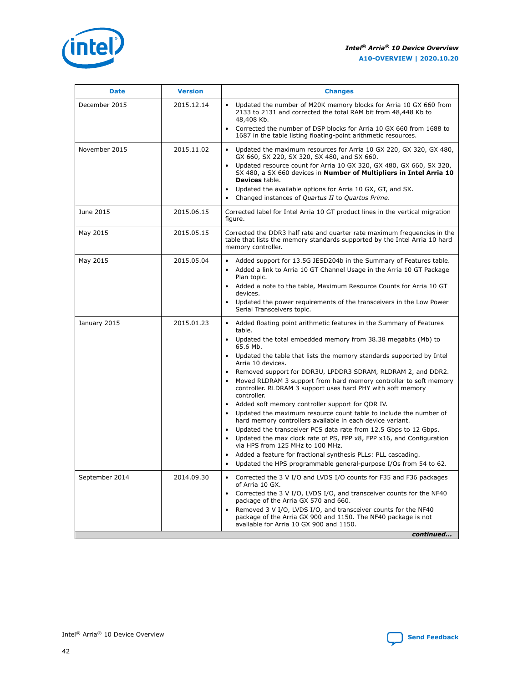#### *Intel® Arria® 10 Device Overview* **A10-OVERVIEW | 2020.10.20**



| <b>Date</b>    | <b>Version</b> | <b>Changes</b>                                                                                                                                                                                                                                                                                                                                                                                                                                                                                                                                                                                                                                                                                                                                                                                                                                                                                                                                                                                                                                                                   |
|----------------|----------------|----------------------------------------------------------------------------------------------------------------------------------------------------------------------------------------------------------------------------------------------------------------------------------------------------------------------------------------------------------------------------------------------------------------------------------------------------------------------------------------------------------------------------------------------------------------------------------------------------------------------------------------------------------------------------------------------------------------------------------------------------------------------------------------------------------------------------------------------------------------------------------------------------------------------------------------------------------------------------------------------------------------------------------------------------------------------------------|
| December 2015  | 2015.12.14     | Updated the number of M20K memory blocks for Arria 10 GX 660 from<br>2133 to 2131 and corrected the total RAM bit from 48,448 Kb to<br>48,408 Kb.<br>Corrected the number of DSP blocks for Arria 10 GX 660 from 1688 to<br>$\bullet$<br>1687 in the table listing floating-point arithmetic resources.                                                                                                                                                                                                                                                                                                                                                                                                                                                                                                                                                                                                                                                                                                                                                                          |
| November 2015  | 2015.11.02     | Updated the maximum resources for Arria 10 GX 220, GX 320, GX 480,<br>$\bullet$<br>GX 660, SX 220, SX 320, SX 480, and SX 660.<br>Updated resource count for Arria 10 GX 320, GX 480, GX 660, SX 320,<br>SX 480, a SX 660 devices in Number of Multipliers in Intel Arria 10<br>Devices table.<br>Updated the available options for Arria 10 GX, GT, and SX.<br>Changed instances of Quartus II to Quartus Prime.<br>$\bullet$                                                                                                                                                                                                                                                                                                                                                                                                                                                                                                                                                                                                                                                   |
| June 2015      | 2015.06.15     | Corrected label for Intel Arria 10 GT product lines in the vertical migration<br>figure.                                                                                                                                                                                                                                                                                                                                                                                                                                                                                                                                                                                                                                                                                                                                                                                                                                                                                                                                                                                         |
| May 2015       | 2015.05.15     | Corrected the DDR3 half rate and quarter rate maximum frequencies in the<br>table that lists the memory standards supported by the Intel Arria 10 hard<br>memory controller.                                                                                                                                                                                                                                                                                                                                                                                                                                                                                                                                                                                                                                                                                                                                                                                                                                                                                                     |
| May 2015       | 2015.05.04     | Added support for 13.5G JESD204b in the Summary of Features table.<br>Added a link to Arria 10 GT Channel Usage in the Arria 10 GT Package<br>$\bullet$<br>Plan topic.<br>Added a note to the table, Maximum Resource Counts for Arria 10 GT<br>$\bullet$<br>devices.<br>Updated the power requirements of the transceivers in the Low Power<br>Serial Transceivers topic.                                                                                                                                                                                                                                                                                                                                                                                                                                                                                                                                                                                                                                                                                                       |
| January 2015   | 2015.01.23     | Added floating point arithmetic features in the Summary of Features<br>$\bullet$<br>table.<br>Updated the total embedded memory from 38.38 megabits (Mb) to<br>$\bullet$<br>65.6 Mb.<br>Updated the table that lists the memory standards supported by Intel<br>Arria 10 devices.<br>Removed support for DDR3U, LPDDR3 SDRAM, RLDRAM 2, and DDR2.<br>$\bullet$<br>Moved RLDRAM 3 support from hard memory controller to soft memory<br>controller. RLDRAM 3 support uses hard PHY with soft memory<br>controller.<br>Added soft memory controller support for QDR IV.<br>$\bullet$<br>Updated the maximum resource count table to include the number of<br>$\bullet$<br>hard memory controllers available in each device variant.<br>Updated the transceiver PCS data rate from 12.5 Gbps to 12 Gbps.<br>Updated the max clock rate of PS, FPP x8, FPP x16, and Configuration<br>$\bullet$<br>via HPS from 125 MHz to 100 MHz.<br>Added a feature for fractional synthesis PLLs: PLL cascading.<br>Updated the HPS programmable general-purpose I/Os from 54 to 62.<br>$\bullet$ |
| September 2014 | 2014.09.30     | Corrected the 3 V I/O and LVDS I/O counts for F35 and F36 packages<br>$\bullet$<br>of Arria 10 GX.<br>Corrected the 3 V I/O, LVDS I/O, and transceiver counts for the NF40<br>$\bullet$<br>package of the Arria GX 570 and 660.<br>Removed 3 V I/O, LVDS I/O, and transceiver counts for the NF40<br>$\bullet$<br>package of the Arria GX 900 and 1150. The NF40 package is not<br>available for Arria 10 GX 900 and 1150.<br>continued                                                                                                                                                                                                                                                                                                                                                                                                                                                                                                                                                                                                                                          |